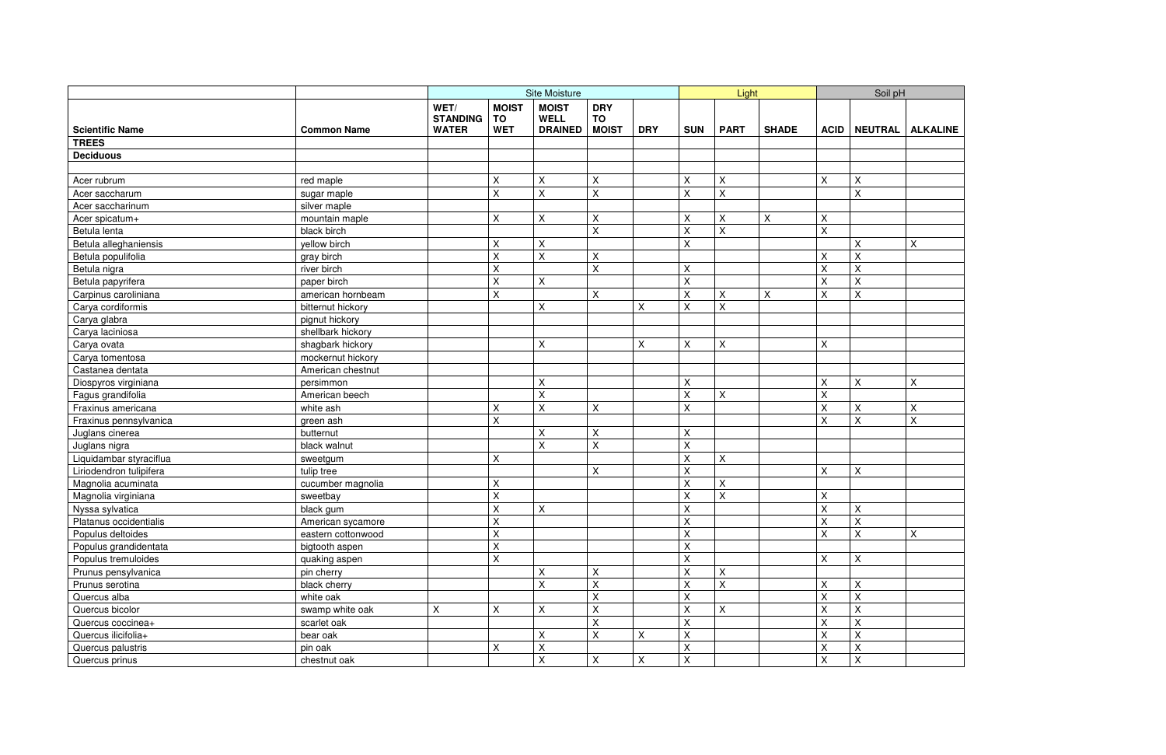|                         |                    | <b>Site Moisture</b>                    |                                         |                                               |                                         |             | Light                       |                           | Soil pH      |                |                           |                           |
|-------------------------|--------------------|-----------------------------------------|-----------------------------------------|-----------------------------------------------|-----------------------------------------|-------------|-----------------------------|---------------------------|--------------|----------------|---------------------------|---------------------------|
| <b>Scientific Name</b>  | <b>Common Name</b> | WET/<br><b>STANDING</b><br><b>WATER</b> | <b>MOIST</b><br><b>TO</b><br><b>WET</b> | <b>MOIST</b><br><b>WELL</b><br><b>DRAINED</b> | <b>DRY</b><br><b>TO</b><br><b>MOIST</b> | <b>DRY</b>  | <b>SUN</b>                  | <b>PART</b>               | <b>SHADE</b> | <b>ACID</b>    | NEUTRAL                   | <b>ALKALINE</b>           |
| <b>TREES</b>            |                    |                                         |                                         |                                               |                                         |             |                             |                           |              |                |                           |                           |
| <b>Deciduous</b>        |                    |                                         |                                         |                                               |                                         |             |                             |                           |              |                |                           |                           |
|                         |                    |                                         |                                         |                                               |                                         |             |                             |                           |              |                |                           |                           |
| Acer rubrum             | red maple          |                                         | Χ                                       | $\sf X$                                       | Χ                                       |             | X                           | $\pmb{\mathsf{X}}$        |              | X              | $\pmb{\times}$            |                           |
| Acer saccharum          | sugar maple        |                                         | $\sf X$                                 | $\overline{\mathsf{X}}$                       | X                                       |             | $\pmb{\times}$              | $\sf X$                   |              |                | $\mathsf X$               |                           |
| Acer saccharinum        | silver maple       |                                         |                                         |                                               |                                         |             |                             |                           |              |                |                           |                           |
| Acer spicatum+          | mountain maple     |                                         | Χ                                       | $\pmb{\mathsf{X}}$                            | Χ                                       |             | X                           | $\sf X$                   | X            | X              |                           |                           |
| Betula lenta            | black birch        |                                         |                                         |                                               | X                                       |             | $\sf X$                     | $\sf X$                   |              | $\overline{X}$ |                           |                           |
| Betula alleghaniensis   | yellow birch       |                                         | Χ                                       | X                                             |                                         |             | X                           |                           |              |                | X                         | X                         |
| Betula populifolia      | gray birch         |                                         | $\pmb{\mathsf{X}}$                      | $\sf X$                                       | $\pmb{\times}$                          |             |                             |                           |              | X              | $\sf X$                   |                           |
| Betula nigra            | river birch        |                                         | $\sf X$                                 |                                               | X                                       |             | $\pmb{\times}$              |                           |              | X              | $\pmb{\times}$            |                           |
| Betula papyrifera       | paper birch        |                                         | $\pmb{\mathsf{X}}$                      | $\sf X$                                       |                                         |             | $\mathsf{X}$                |                           |              | X              | $\mathsf X$               |                           |
| Carpinus caroliniana    | american hornbeam  |                                         | $\sf X$                                 |                                               | X                                       |             | $\sf X$                     | X                         | $\mathsf{X}$ | X              | X                         |                           |
| Carya cordiformis       | bitternut hickory  |                                         |                                         | X                                             |                                         | X           | X                           | $\sf X$                   |              |                |                           |                           |
| Carya glabra            | pignut hickory     |                                         |                                         |                                               |                                         |             |                             |                           |              |                |                           |                           |
| Carya laciniosa         | shellbark hickory  |                                         |                                         |                                               |                                         |             |                             |                           |              |                |                           |                           |
| Carya ovata             | shagbark hickory   |                                         |                                         | $\pmb{\mathsf{X}}$                            |                                         | $\mathsf X$ | $\pmb{\times}$              | X                         |              | X              |                           |                           |
| Carya tomentosa         | mockernut hickory  |                                         |                                         |                                               |                                         |             |                             |                           |              |                |                           |                           |
| Castanea dentata        | American chestnut  |                                         |                                         |                                               |                                         |             |                             |                           |              |                |                           |                           |
| Diospyros virginiana    | persimmon          |                                         |                                         | $\pmb{\mathsf{X}}$                            |                                         |             | $\pmb{\times}$              |                           |              | X              | X                         | $\mathsf{X}$              |
| Fagus grandifolia       | American beech     |                                         |                                         | $\mathsf{X}$                                  |                                         |             | $\pmb{\times}$              | $\mathsf X$               |              | X              |                           |                           |
| Fraxinus americana      | white ash          |                                         | $\pmb{\mathsf{X}}$                      | $\mathsf{X}$                                  | X                                       |             | $\pmb{\times}$              |                           |              | X              | $\mathsf X$               | $\pmb{\mathsf{X}}$        |
| Fraxinus pennsylvanica  | green ash          |                                         | X                                       |                                               |                                         |             |                             |                           |              | $\sf X$        | X                         | $\mathsf{X}$              |
| Juglans cinerea         | butternut          |                                         |                                         | X                                             | Χ                                       |             | $\pmb{\times}$              |                           |              |                |                           |                           |
| Juglans nigra           | black walnut       |                                         |                                         | $\mathsf{X}$                                  | X                                       |             | $\pmb{\times}$              |                           |              |                |                           |                           |
| Liquidambar styraciflua | sweetgum           |                                         | X                                       |                                               |                                         |             | $\pmb{\times}$              | $\pmb{\times}$            |              |                |                           |                           |
| Liriodendron tulipifera | tulip tree         |                                         |                                         |                                               | X                                       |             | $\pmb{\times}$              |                           |              | X              | $\pmb{\times}$            |                           |
| Magnolia acuminata      | cucumber magnolia  |                                         | X                                       |                                               |                                         |             | $\sf X$                     | X                         |              |                |                           |                           |
| Magnolia virginiana     | sweetbay           |                                         | $\pmb{\mathsf{X}}$                      |                                               |                                         |             | $\mathsf{X}$                | $\boldsymbol{\mathsf{X}}$ |              | X              |                           |                           |
| Nyssa sylvatica         | black gum          |                                         | $\mathbf{x}$                            | $\mathsf{X}$                                  |                                         |             | $\mathsf{x}$                |                           |              | $\mathsf{x}$   | $\mathsf{x}$              |                           |
| Platanus occidentialis  | American sycamore  |                                         | $\lambda$<br>$\mathsf X$                |                                               |                                         |             | $\lambda$<br>$\pmb{\times}$ |                           |              | $\lambda$<br>X | $\pmb{\times}$            |                           |
| Populus deltoides       | eastern cottonwood |                                         | Χ                                       |                                               |                                         |             | $\pmb{\times}$              |                           |              | X              | X                         | $\boldsymbol{\mathsf{X}}$ |
| Populus grandidentata   | bigtooth aspen     |                                         | Χ                                       |                                               |                                         |             | $\pmb{\times}$              |                           |              |                |                           |                           |
| Populus tremuloides     | quaking aspen      |                                         | $\pmb{\times}$                          |                                               |                                         |             | $\mathsf X$                 |                           |              | X              | X                         |                           |
| Prunus pensylvanica     | pin cherry         |                                         |                                         | X                                             | Χ                                       |             | $\pmb{\times}$              | X                         |              |                |                           |                           |
| Prunus serotina         | black cherry       |                                         |                                         | X                                             | X                                       |             | $\mathsf X$                 | $\mathsf{X}$              |              | X              | $\mathsf X$               |                           |
| Quercus alba            | white oak          |                                         |                                         |                                               | X                                       |             | $\mathsf X$                 |                           |              | X              | $\mathsf X$               |                           |
| Quercus bicolor         | swamp white oak    | X                                       | X                                       | X                                             | X                                       |             | $\pmb{\times}$              | $\boldsymbol{\mathsf{X}}$ |              | $\sf X$        | $\boldsymbol{\mathsf{X}}$ |                           |
| Quercus coccinea+       | scarlet oak        |                                         |                                         |                                               | $\pmb{\times}$                          |             | $\pmb{\times}$              |                           |              | X              | X                         |                           |
| Quercus ilicifolia+     | bear oak           |                                         |                                         | Χ                                             | X                                       | X           | $\pmb{\times}$              |                           |              | Χ              | $\pmb{\times}$            |                           |
| Quercus palustris       | pin oak            |                                         | X                                       | $\pmb{\mathsf{X}}$                            |                                         |             | $\mathsf X$                 |                           |              | Χ              | $\mathsf X$               |                           |
| Quercus prinus          | chestnut oak       |                                         |                                         | $\mathsf{X}$                                  | X                                       | X           | $\pmb{\times}$              |                           |              | X              | $\mathsf{X}$              |                           |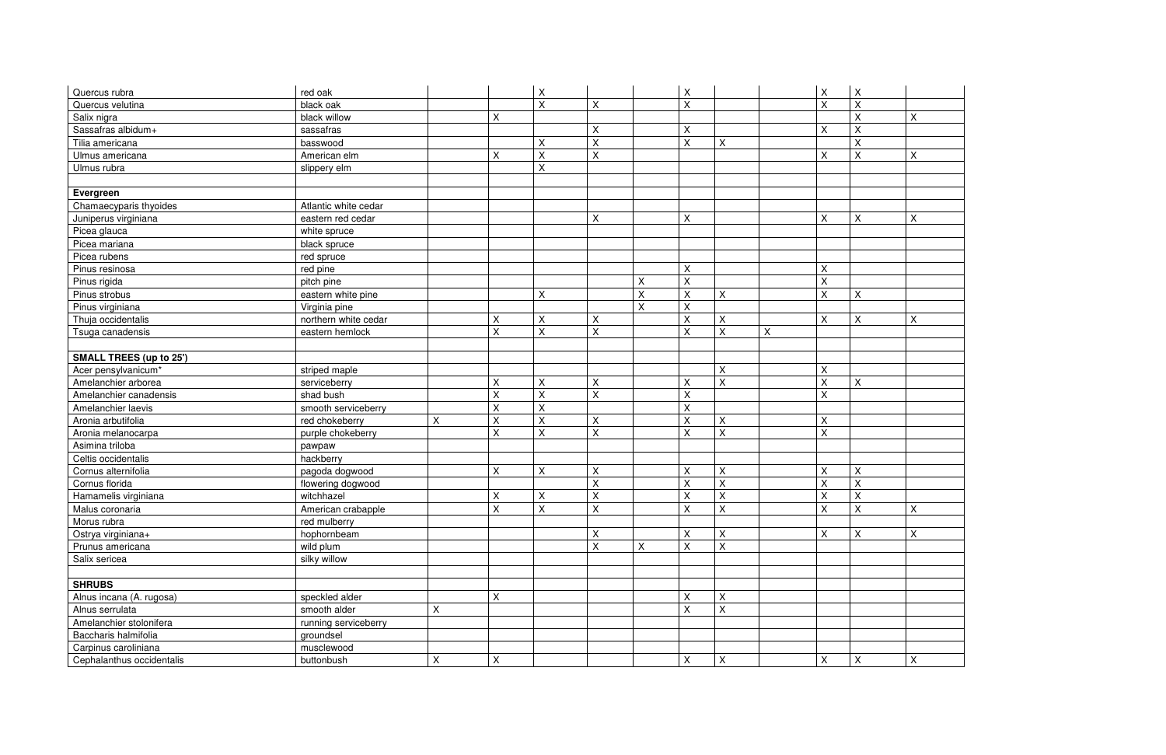| Quercus rubra                  | red oak              |   |                       | $\mathsf X$             |                           |             | $\boldsymbol{\mathsf{X}}$ |                           |   | X                       | X                         |                           |
|--------------------------------|----------------------|---|-----------------------|-------------------------|---------------------------|-------------|---------------------------|---------------------------|---|-------------------------|---------------------------|---------------------------|
| Quercus velutina               | black oak            |   |                       | $\overline{\mathsf{x}}$ | X                         |             | $\pmb{\times}$            |                           |   | $\overline{\mathsf{X}}$ | $\overline{X}$            |                           |
| Salix nigra                    | black willow         |   | X.                    |                         |                           |             |                           |                           |   |                         | X                         | $\pmb{\mathsf{X}}$        |
| Sassafras albidum+             | sassafras            |   |                       |                         | X                         |             | X                         |                           |   | $\mathsf X$             | $\pmb{\times}$            |                           |
| Tilia americana                | basswood             |   |                       | X                       | X                         |             | $\pmb{\times}$            | $\pmb{\times}$            |   |                         | $\pmb{\times}$            |                           |
| Ulmus americana                | American elm         |   | Χ                     | $\sf X$                 | X                         |             |                           |                           |   | $\mathsf X$             | $\mathsf X$               | X                         |
| Ulmus rubra                    | slippery elm         |   |                       | $\mathsf{X}$            |                           |             |                           |                           |   |                         |                           |                           |
|                                |                      |   |                       |                         |                           |             |                           |                           |   |                         |                           |                           |
| Evergreen                      |                      |   |                       |                         |                           |             |                           |                           |   |                         |                           |                           |
| Chamaecyparis thyoides         | Atlantic white cedar |   |                       |                         |                           |             |                           |                           |   |                         |                           |                           |
| Juniperus virginiana           | eastern red cedar    |   |                       |                         | X                         |             | X                         |                           |   | Χ                       | $\pmb{\times}$            | $\sf X$                   |
| Picea glauca                   | white spruce         |   |                       |                         |                           |             |                           |                           |   |                         |                           |                           |
| Picea mariana                  | black spruce         |   |                       |                         |                           |             |                           |                           |   |                         |                           |                           |
| Picea rubens                   | red spruce           |   |                       |                         |                           |             |                           |                           |   |                         |                           |                           |
| Pinus resinosa                 | red pine             |   |                       |                         |                           |             | $\boldsymbol{\mathsf{X}}$ |                           |   | X                       |                           |                           |
| Pinus rigida                   | pitch pine           |   |                       |                         |                           | X           | $\mathsf X$               |                           |   | $\mathsf{X}$            |                           |                           |
| Pinus strobus                  | eastern white pine   |   |                       | $\sf X$                 |                           | $\mathsf X$ | $\pmb{\times}$            | $\sf X$                   |   | $\mathsf{X}$            | $\pmb{\times}$            |                           |
| Pinus virginiana               | Virginia pine        |   |                       |                         |                           | $\sf X$     | $\pmb{\times}$            |                           |   |                         |                           |                           |
| Thuja occidentalis             | northern white cedar |   | Χ                     | X                       | X                         |             | $\pmb{\times}$            | X                         |   | $\mathsf X$             | $\mathsf{X}$              | X                         |
| Tsuga canadensis               | eastern hemlock      |   | X                     | $\sf X$                 | $\mathsf{X}$              |             | $\boldsymbol{\mathsf{X}}$ | $\sf X$                   | X |                         |                           |                           |
|                                |                      |   |                       |                         |                           |             |                           |                           |   |                         |                           |                           |
| <b>SMALL TREES (up to 25')</b> |                      |   |                       |                         |                           |             |                           |                           |   |                         |                           |                           |
| Acer pensylvanicum*            | striped maple        |   |                       |                         |                           |             |                           | $\pmb{\times}$            |   | $\mathsf X$             |                           |                           |
| Amelanchier arborea            | serviceberry         |   | Χ                     | $\sf X$                 | Χ                         |             | $\boldsymbol{\mathsf{X}}$ | X                         |   | $\sf X$                 | $\mathsf{X}$              |                           |
| Amelanchier canadensis         | shad bush            |   | Χ                     | X                       | X                         |             | $\pmb{\times}$            |                           |   | X                       |                           |                           |
| Amelanchier laevis             | smooth serviceberry  |   | $\sf X$               | $\sf X$                 |                           |             | $\pmb{\times}$            |                           |   |                         |                           |                           |
| Aronia arbutifolia             | red chokeberry       | X | X                     | $\mathsf{X}$            | X                         |             | $\mathsf X$               | $\sf X$                   |   | $\mathsf X$             |                           |                           |
| Aronia melanocarpa             | purple chokeberry    |   | $\pmb{\times}$        | $\sf X$                 | $\mathsf X$               |             | $\boldsymbol{\mathsf{X}}$ | $\mathsf X$               |   | $\mathsf{X}$            |                           |                           |
| Asimina triloba                | pawpaw               |   |                       |                         |                           |             |                           |                           |   |                         |                           |                           |
| Celtis occidentalis            | hackberry            |   |                       |                         |                           |             |                           |                           |   |                         |                           |                           |
| Cornus alternifolia            | pagoda dogwood       |   | Χ                     | $\sf X$                 | X                         |             | $\pmb{\times}$            | $\sf X$                   |   | $\sf X$                 | $\pmb{\times}$            |                           |
| Cornus florida                 | flowering dogwood    |   |                       |                         | X                         |             | $\pmb{\times}$            | X                         |   | $\mathsf{X}$            | X                         |                           |
| Hamamelis virginiana           | witchhazel           |   | $\mathsf X$           | X                       | $\sf X$                   |             | $\boldsymbol{\mathsf{X}}$ | X                         |   | $\mathsf{X}$            | $\pmb{\times}$            |                           |
| Malus coronaria                | American crabapple   |   | <b>Y</b><br>$\lambda$ | $\mathsf X$             | $\mathsf{x}$<br>$\lambda$ |             | $\mathbf{x}$<br>$\lambda$ | $\mathsf{x}$<br>$\lambda$ |   | $\mathsf X$             | $\mathsf{x}$<br>$\lambda$ | $\mathbf{x}$<br>$\lambda$ |
| Morus rubra                    | red mulberry         |   |                       |                         |                           |             |                           |                           |   |                         |                           |                           |
| Ostrya virginiana+             | hophornbeam          |   |                       |                         | X                         |             | $\pmb{\times}$            | X                         |   | $\mathsf X$             | X                         | X                         |
| Prunus americana               | wild plum            |   |                       |                         | $\overline{\mathsf{X}}$   | Χ           | $\mathsf{X}$              | $\mathsf X$               |   |                         |                           |                           |
| Salix sericea                  | silky willow         |   |                       |                         |                           |             |                           |                           |   |                         |                           |                           |
|                                |                      |   |                       |                         |                           |             |                           |                           |   |                         |                           |                           |
| <b>SHRUBS</b>                  |                      |   |                       |                         |                           |             |                           |                           |   |                         |                           |                           |
| Alnus incana (A. rugosa)       | speckled alder       |   | X                     |                         |                           |             | $\pmb{\times}$            | X                         |   |                         |                           |                           |
| Alnus serrulata                | smooth alder         | X |                       |                         |                           |             | $\boldsymbol{\mathsf{X}}$ | $\times$                  |   |                         |                           |                           |
| Amelanchier stolonifera        | running serviceberry |   |                       |                         |                           |             |                           |                           |   |                         |                           |                           |
| Baccharis halmifolia           | groundsel            |   |                       |                         |                           |             |                           |                           |   |                         |                           |                           |
| Carpinus caroliniana           | musclewood           |   |                       |                         |                           |             |                           |                           |   |                         |                           |                           |
| Cephalanthus occidentalis      | buttonbush           | X | X                     |                         |                           |             | $\mathsf{X}$              | X                         |   | $\mathsf X$             | $\mathsf{x}$              | $\sf X$                   |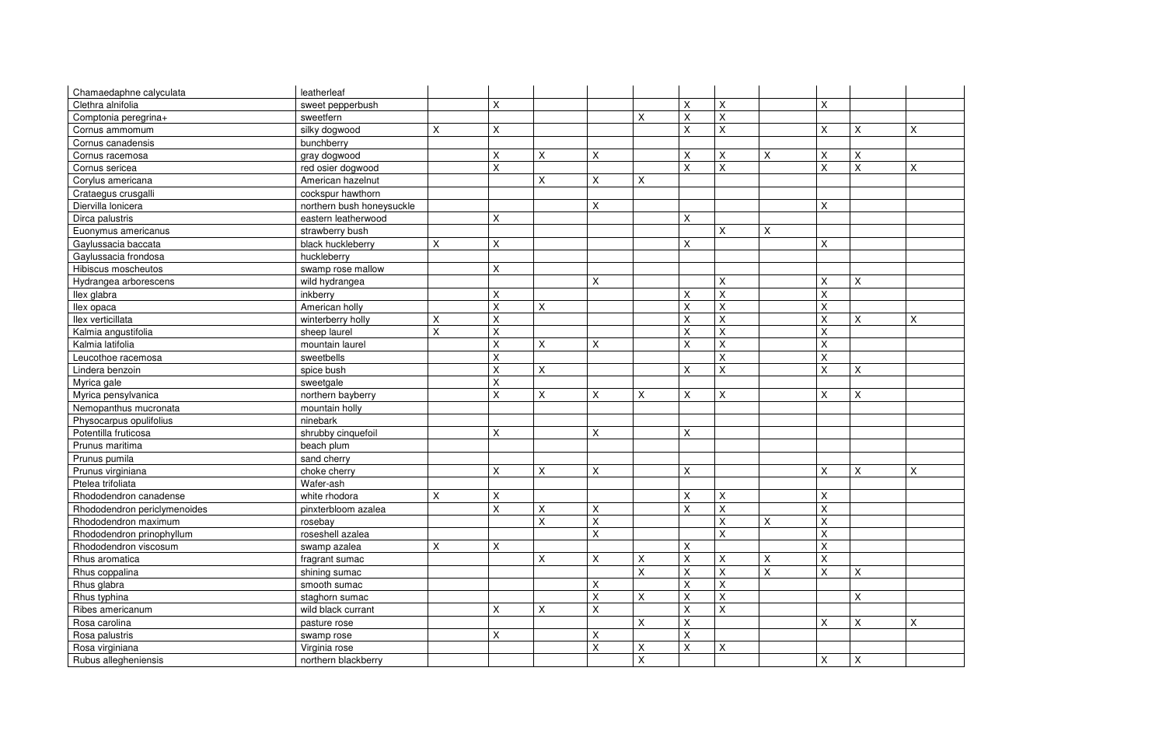| Chamaedaphne calyculata      | leatherleaf               |   |                |                           |                         |                |                           |                           |                |                         |                |              |
|------------------------------|---------------------------|---|----------------|---------------------------|-------------------------|----------------|---------------------------|---------------------------|----------------|-------------------------|----------------|--------------|
| Clethra alnifolia            | sweet pepperbush          |   | $\mathsf X$    |                           |                         |                | $\boldsymbol{\mathsf{X}}$ | $\sf X$                   |                | $\mathsf X$             |                |              |
| Comptonia peregrina+         | sweetfern                 |   |                |                           |                         | X              | $\mathsf X$               | $\boldsymbol{\mathsf{X}}$ |                |                         |                |              |
| Cornus ammomum               | silky dogwood             | X | Χ              |                           |                         |                | $\pmb{\times}$            | X                         |                | $\sf X$                 | X              | $\mathsf X$  |
| Cornus canadensis            | bunchberry                |   |                |                           |                         |                |                           |                           |                |                         |                |              |
| Cornus racemosa              | gray dogwood              |   | X.             | Χ                         | X                       |                | X                         | X                         | X              | Χ                       | X              |              |
| Cornus sericea               | red osier dogwood         |   | X              |                           |                         |                | $\pmb{\times}$            | $\sf X$                   |                | $\overline{\mathsf{X}}$ | $\pmb{\times}$ | $\mathsf{X}$ |
| Corylus americana            | American hazelnut         |   |                | X                         | X                       | $\pmb{\times}$ |                           |                           |                |                         |                |              |
| Crataegus crusgalli          | cockspur hawthorn         |   |                |                           |                         |                |                           |                           |                |                         |                |              |
| Diervilla lonicera           | northern bush honeysuckle |   |                |                           | Χ                       |                |                           |                           |                | $\mathsf X$             |                |              |
| Dirca palustris              | eastern leatherwood       |   | X.             |                           |                         |                | $\boldsymbol{\mathsf{X}}$ |                           |                |                         |                |              |
| Euonymus americanus          | strawberry bush           |   |                |                           |                         |                |                           | X                         | $\mathsf{X}$   |                         |                |              |
| Gaylussacia baccata          | black huckleberry         | X | Χ              |                           |                         |                | X                         |                           |                | $\sf X$                 |                |              |
| Gaylussacia frondosa         | huckleberry               |   |                |                           |                         |                |                           |                           |                |                         |                |              |
| Hibiscus moscheutos          | swamp rose mallow         |   | Χ              |                           |                         |                |                           |                           |                |                         |                |              |
| Hydrangea arborescens        | wild hydrangea            |   |                |                           | Χ                       |                |                           | $\sf X$                   |                | $\sf X$                 | $\pmb{\times}$ |              |
| llex glabra                  | inkberry                  |   | $\mathsf X$    |                           |                         |                | $\boldsymbol{\mathsf{X}}$ | $\sf X$                   |                | $\sf X$                 |                |              |
| llex opaca                   | American holly            |   | X              | $\pmb{\mathsf{X}}$        |                         |                | $\mathsf X$               | $\sf X$                   |                | $\sf X$                 |                |              |
| llex verticillata            | winterberry holly         | X | Χ              |                           |                         |                | $\pmb{\times}$            | $\sf X$                   |                | $\mathsf{X}$            | $\mathsf{X}$   | $\sf X$      |
| Kalmia angustifolia          | sheep laurel              | X | X              |                           |                         |                | $\pmb{\times}$            | X                         |                | $\sf X$                 |                |              |
| Kalmia latifolia             | mountain laurel           |   | X              | $\sf X$                   | Χ                       |                | $\boldsymbol{\mathsf{X}}$ | X                         |                | $\mathsf{X}$            |                |              |
| Leucothoe racemosa           | sweetbells                |   | X              |                           |                         |                |                           | X                         |                | X                       |                |              |
| Lindera benzoin              | spice bush                |   | X              | $\pmb{\times}$            |                         |                | $\boldsymbol{\mathsf{X}}$ | $\sf X$                   |                | $\mathsf{X}$            | $\pmb{\times}$ |              |
| Myrica gale                  | sweetgale                 |   | Χ              |                           |                         |                |                           |                           |                |                         |                |              |
| Myrica pensylvanica          | northern bayberry         |   | Χ              | $\pmb{\mathsf{X}}$        | X                       | X              | X                         | X                         |                | Χ                       | $\mathsf{X}$   |              |
| Nemopanthus mucronata        | mountain holly            |   |                |                           |                         |                |                           |                           |                |                         |                |              |
| Physocarpus opulifolius      | ninebark                  |   |                |                           |                         |                |                           |                           |                |                         |                |              |
| Potentilla fruticosa         | shrubby cinquefoil        |   | Χ              |                           | X                       |                | $\pmb{\times}$            |                           |                |                         |                |              |
| Prunus maritima              | beach plum                |   |                |                           |                         |                |                           |                           |                |                         |                |              |
| Prunus pumila                | sand cherry               |   |                |                           |                         |                |                           |                           |                |                         |                |              |
| Prunus virginiana            | choke cherry              |   | Χ              | $\sf X$                   | X                       |                | $\boldsymbol{\mathsf{X}}$ |                           |                | $\sf X$                 | $\pmb{\times}$ | X            |
| Ptelea trifoliata            | Wafer-ash                 |   |                |                           |                         |                |                           |                           |                |                         |                |              |
| Rhododendron canadense       | white rhodora             | X | X              |                           |                         |                | X                         | X                         |                | $\pmb{\mathsf{X}}$      |                |              |
| Rhododendron periclymenoides | pinxterbloom azalea       |   | X              | $\boldsymbol{\mathsf{X}}$ | X                       |                | $\sf X$                   | $\mathsf{x}$              |                | $\mathsf{x}$            |                |              |
| Rhododendron maximum         | rosebay                   |   |                | $\mathsf X$               | X                       |                |                           | $\sf X$                   | $\pmb{\times}$ | $\sf X$                 |                |              |
| Rhododendron prinophyllum    | roseshell azalea          |   |                |                           | X                       |                |                           | X                         |                | $\sf X$                 |                |              |
| Rhododendron viscosum        | swamp azalea              | X | $\pmb{\times}$ |                           |                         |                | $\boldsymbol{\mathsf{X}}$ |                           |                | $\mathsf X$             |                |              |
| Rhus aromatica               | fragrant sumac            |   |                | X                         | X                       | X              | X                         | X                         | $\mathsf X$    | $\mathsf X$             |                |              |
| Rhus coppalina               | shining sumac             |   |                |                           |                         | X              | $\pmb{\times}$            | $\sf X$                   | $\mathsf X$    | $\mathsf{X}$            | $\mathsf{X}$   |              |
| Rhus glabra                  | smooth sumac              |   |                |                           | Χ                       |                | $\pmb{\times}$            | $\sf X$                   |                |                         |                |              |
| Rhus typhina                 | staghorn sumac            |   |                |                           | $\overline{\mathsf{X}}$ | $\pmb{\times}$ | $\pmb{\times}$            | $\mathsf{X}$              |                |                         | $\mathsf{X}$   |              |
| Ribes americanum             | wild black currant        |   | Χ              | $\sf X$                   | X                       |                | $\boldsymbol{\mathsf{X}}$ | $\pmb{\times}$            |                |                         |                |              |
| Rosa carolina                | pasture rose              |   |                |                           |                         | X              | $\pmb{\times}$            |                           |                | X                       | X              | $\mathsf X$  |
| Rosa palustris               | swamp rose                |   | X              |                           | Χ                       |                | $\pmb{\times}$            |                           |                |                         |                |              |
| Rosa virginiana              | Virginia rose             |   |                |                           | X                       | $\pmb{\times}$ | $\pmb{\times}$            | $\boldsymbol{\mathsf{X}}$ |                |                         |                |              |
| Rubus allegheniensis         | northern blackberry       |   |                |                           |                         | $\mathsf X$    |                           |                           |                | $\mathsf X$             | $\mathsf X$    |              |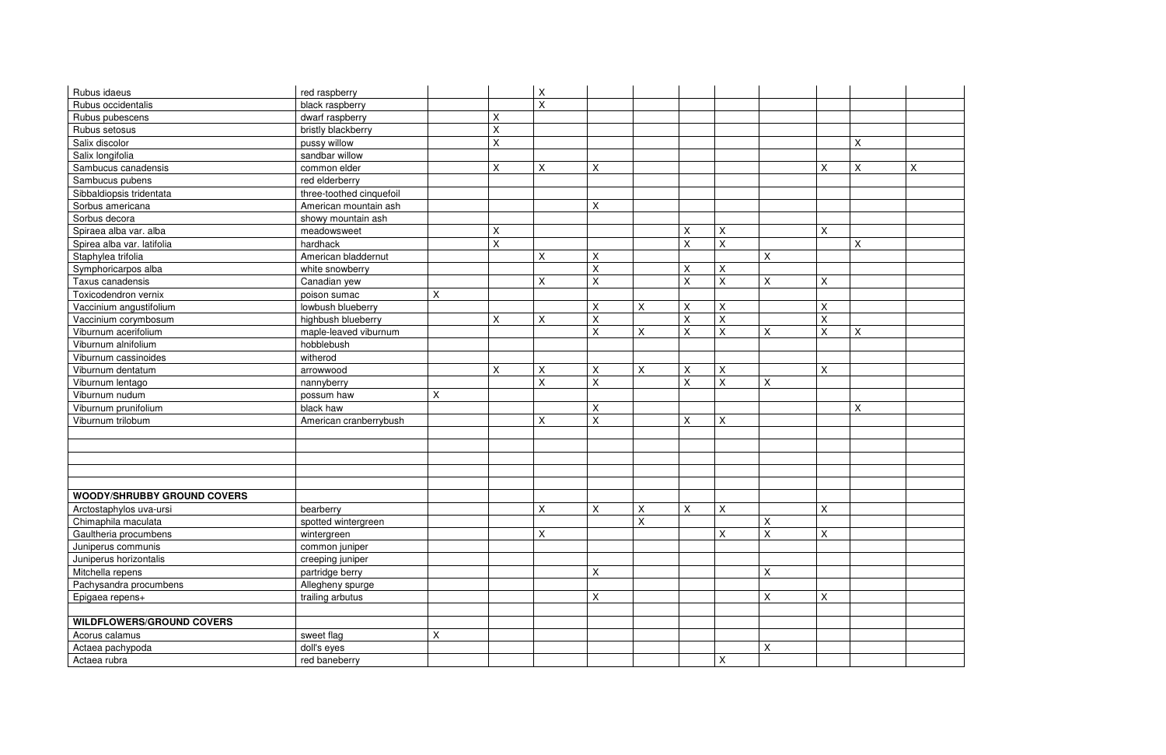| Rubus idaeus                       | red raspberry            |                |                | $\mathsf X$        |                |                           |             |             |   |             |                |
|------------------------------------|--------------------------|----------------|----------------|--------------------|----------------|---------------------------|-------------|-------------|---|-------------|----------------|
| Rubus occidentalis                 | black raspberry          |                |                | $\mathsf{X}% _{0}$ |                |                           |             |             |   |             |                |
| Rubus pubescens                    | dwarf raspberry          |                | $\pmb{\times}$ |                    |                |                           |             |             |   |             |                |
| Rubus setosus                      | bristly blackberry       |                | X              |                    |                |                           |             |             |   |             |                |
| Salix discolor                     | pussy willow             |                | $\mathsf X$    |                    |                |                           |             |             |   |             | $\mathsf{X}^-$ |
| Salix longifolia                   | sandbar willow           |                |                |                    |                |                           |             |             |   |             |                |
| Sambucus canadensis                | common elder             |                | X              | X                  | X              |                           |             |             |   | X           | $\mathsf{X}^-$ |
| Sambucus pubens                    | red elderberry           |                |                |                    |                |                           |             |             |   |             |                |
| Sibbaldiopsis tridentata           | three-toothed cinquefoil |                |                |                    |                |                           |             |             |   |             |                |
| Sorbus americana                   | American mountain ash    |                |                |                    | $\pmb{\times}$ |                           |             |             |   |             |                |
| Sorbus decora                      | showy mountain ash       |                |                |                    |                |                           |             |             |   |             |                |
| Spiraea alba var. alba             | meadowsweet              |                | Χ              |                    |                |                           | Χ           | $\mathsf X$ |   | $\mathsf X$ |                |
| Spirea alba var. latifolia         | hardhack                 |                | X              |                    |                |                           | X           | $\mathsf X$ |   |             | $\mathsf X$    |
| Staphylea trifolia                 | American bladdernut      |                |                | X                  | Χ              |                           |             |             | X |             |                |
| Symphoricarpos alba                | white snowberry          |                |                |                    | $\sf X$        |                           | $\mathsf X$ | X           |   |             |                |
| Taxus canadensis                   | Canadian yew             |                |                | X                  | X              |                           | X           | $\mathsf X$ | X | X           |                |
| Toxicodendron vernix               | poison sumac             | Χ              |                |                    |                |                           |             |             |   |             |                |
| Vaccinium angustifolium            | lowbush blueberry        |                |                |                    | X              | $\boldsymbol{\mathsf{X}}$ | X           | $\mathsf X$ |   | X           |                |
| Vaccinium corymbosum               | highbush blueberry       |                | X              | X                  | X              |                           | Χ           | $\mathsf X$ |   | $\mathsf X$ |                |
| Viburnum acerifolium               | maple-leaved viburnum    |                |                |                    | X              | $\boldsymbol{\mathsf{X}}$ | Χ           | $\mathsf X$ | X | X           | $\mathsf{X}^-$ |
| Viburnum alnifolium                | hobblebush               |                |                |                    |                |                           |             |             |   |             |                |
| Viburnum cassinoides               | witherod                 |                |                |                    |                |                           |             |             |   |             |                |
| Viburnum dentatum                  | arrowwood                |                | Χ              | $\mathsf X$        | Χ              | $\boldsymbol{\mathsf{X}}$ | Χ           | $\mathsf X$ |   | X           |                |
| Viburnum lentago                   | nannyberry               |                |                | $\mathsf{X}% _{0}$ | $\sf X$        |                           | X           | $\mathsf X$ | Χ |             |                |
| Viburnum nudum                     | possum haw               | $\pmb{\times}$ |                |                    |                |                           |             |             |   |             |                |
| Viburnum prunifolium               | black haw                |                |                |                    | Χ              |                           |             |             |   |             | X              |
| Viburnum trilobum                  | American cranberrybush   |                |                | $\mathsf{X}$       | $\sf X$        |                           | X           | $\mathsf X$ |   |             |                |
|                                    |                          |                |                |                    |                |                           |             |             |   |             |                |
|                                    |                          |                |                |                    |                |                           |             |             |   |             |                |
|                                    |                          |                |                |                    |                |                           |             |             |   |             |                |
|                                    |                          |                |                |                    |                |                           |             |             |   |             |                |
|                                    |                          |                |                |                    |                |                           |             |             |   |             |                |
| <b>WOODY/SHRUBBY GROUND COVERS</b> |                          |                |                |                    |                |                           |             |             |   |             |                |
| Arctostaphylos uva-ursi            | bearberry                |                |                | X                  | X              | $\boldsymbol{\mathsf{X}}$ | Χ           | X           |   | $\sf X$     |                |
| Chimaphila maculata                | spotted wintergreen      |                |                |                    |                | $\pmb{\times}$            |             |             | X |             |                |
| Gaultheria procumbens              | wintergreen              |                |                | X                  |                |                           |             | X           | X | X           |                |
| Juniperus communis                 | common juniper           |                |                |                    |                |                           |             |             |   |             |                |
| Juniperus horizontalis             | creeping juniper         |                |                |                    |                |                           |             |             |   |             |                |
| Mitchella repens                   | partridge berry          |                |                |                    | X              |                           |             |             | X |             |                |
| Pachysandra procumbens             | Allegheny spurge         |                |                |                    |                |                           |             |             |   |             |                |
| Epigaea repens+                    | trailing arbutus         |                |                |                    | X              |                           |             |             | X | X           |                |
|                                    |                          |                |                |                    |                |                           |             |             |   |             |                |
| <b>WILDFLOWERS/GROUND COVERS</b>   |                          |                |                |                    |                |                           |             |             |   |             |                |
| Acorus calamus                     | sweet flag               | $\mathsf X$    |                |                    |                |                           |             |             |   |             |                |
| Actaea pachypoda                   | doll's eyes              |                |                |                    |                |                           |             |             | X |             |                |
| Actaea rubra                       | red baneberry            |                |                |                    |                |                           |             | X           |   |             |                |

| $\vert x \vert \vert x$ |                |
|-------------------------|----------------|
|                         | $\overline{X}$ |
|                         |                |
|                         |                |
|                         |                |
|                         |                |
|                         |                |
|                         |                |
| $\overline{X}$          |                |
|                         |                |
|                         |                |
|                         |                |
|                         |                |
|                         |                |
|                         |                |
| $\overline{X}$          |                |
|                         |                |
|                         |                |
|                         |                |
|                         |                |
|                         |                |
| $\overline{X}$          |                |
|                         |                |
|                         |                |
|                         |                |
|                         |                |
|                         |                |
|                         |                |
|                         |                |
|                         |                |
|                         |                |
|                         |                |
|                         |                |
|                         |                |
|                         |                |
|                         |                |
|                         |                |
|                         |                |
|                         |                |
|                         |                |
|                         |                |
|                         |                |
|                         |                |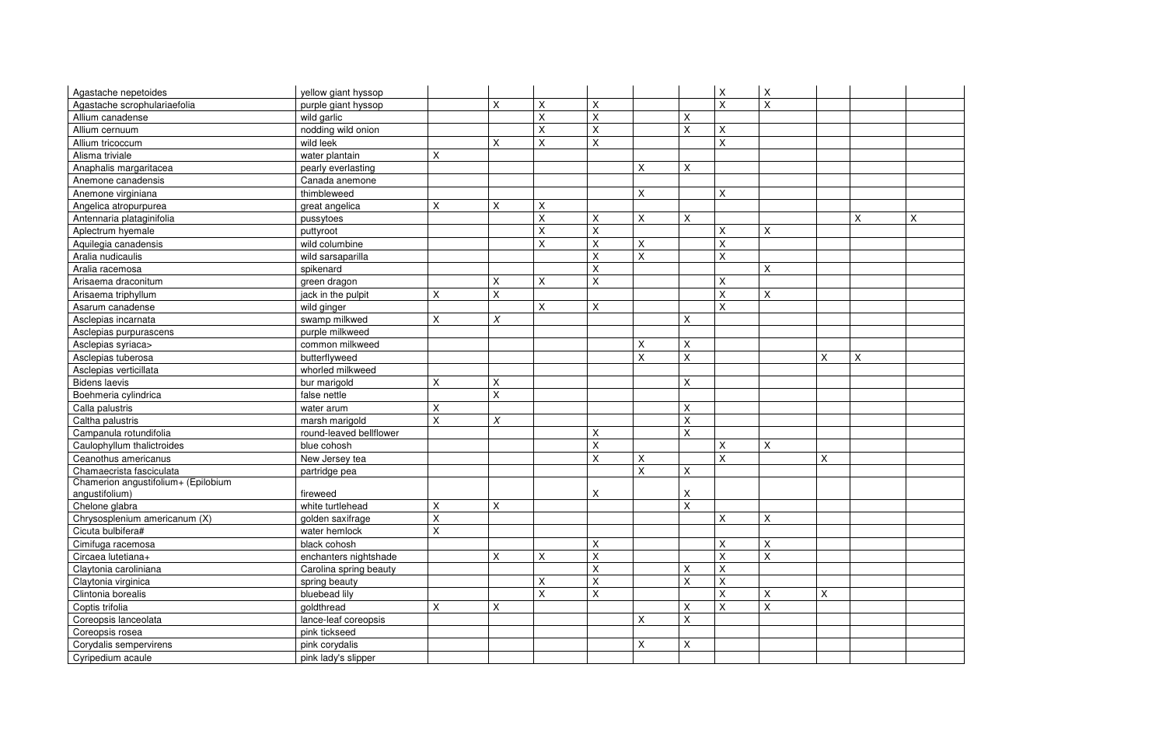| Agastache nepetoides                | yellow giant hyssop     |                           |                |                    |                    |                           |                         | Χ                       | X              |   |
|-------------------------------------|-------------------------|---------------------------|----------------|--------------------|--------------------|---------------------------|-------------------------|-------------------------|----------------|---|
| Agastache scrophulariaefolia        | purple giant hyssop     |                           | $\pmb{\times}$ | Χ                  | $\pmb{\mathsf{X}}$ |                           |                         | $\sf X$                 | $\sf X$        |   |
| Allium canadense                    | wild garlic             |                           |                | $\mathsf{X}$       | $\sf X$            |                           | X                       |                         |                |   |
| Allium cernuum                      | nodding wild onion      |                           |                | X                  | $\sf X$            |                           | $\overline{\mathsf{X}}$ | $\pmb{\mathsf{X}}$      |                |   |
| Allium tricoccum                    | wild leek               |                           | X              | $\pmb{\mathsf{X}}$ | $\sf X$            |                           |                         | $\mathsf{X}$            |                |   |
| Alisma triviale                     | water plantain          | X                         |                |                    |                    |                           |                         |                         |                |   |
| Anaphalis margaritacea              | pearly everlasting      |                           |                |                    |                    | $\times$                  | X                       |                         |                |   |
| Anemone canadensis                  | Canada anemone          |                           |                |                    |                    |                           |                         |                         |                |   |
| Anemone virginiana                  | thimbleweed             |                           |                |                    |                    | $\boldsymbol{\mathsf{X}}$ |                         | X                       |                |   |
| Angelica atropurpurea               | great angelica          | X                         | X              | $\pmb{\times}$     |                    |                           |                         |                         |                |   |
| Antennaria plataginifolia           | pussytoes               |                           |                | X                  | X                  | $\times$                  | X                       |                         |                |   |
| Aplectrum hyemale                   | puttyroot               |                           |                | X                  | $\pmb{\mathsf{X}}$ |                           |                         | X                       | $\sf X$        |   |
| Aquilegia canadensis                | wild columbine          |                           |                | X                  | $\sf X$            | $\sf X$                   |                         | $\sf X$                 |                |   |
| Aralia nudicaulis                   | wild sarsaparilla       |                           |                |                    | $\sf X$            | $\sf X$                   |                         | $\sf X$                 |                |   |
| Aralia racemosa                     | spikenard               |                           |                |                    | $\pmb{\mathsf{X}}$ |                           |                         |                         | X              |   |
| Arisaema draconitum                 | green dragon            |                           | X              | X                  | $\sf X$            |                           |                         | $\pmb{\mathsf{X}}$      |                |   |
| Arisaema triphyllum                 | jack in the pulpit      | $\boldsymbol{\mathsf{X}}$ | X              |                    |                    |                           |                         | $\overline{\mathsf{X}}$ | $\sf X$        |   |
| Asarum canadense                    | wild ginger             |                           |                | X                  | Χ                  |                           |                         | $\pmb{\times}$          |                |   |
| Asclepias incarnata                 | swamp milkwed           | X                         | $\chi$         |                    |                    |                           | Χ                       |                         |                |   |
| Asclepias purpurascens              | purple milkweed         |                           |                |                    |                    |                           |                         |                         |                |   |
| Asclepias syriaca>                  | common milkweed         |                           |                |                    |                    | X                         | Χ                       |                         |                |   |
| Asclepias tuberosa                  | butterflyweed           |                           |                |                    |                    | $\sf X$                   | X                       |                         |                | X |
| Asclepias verticillata              | whorled milkweed        |                           |                |                    |                    |                           |                         |                         |                |   |
| <b>Bidens laevis</b>                | bur marigold            | $\pmb{\times}$            | X              |                    |                    |                           | $\mathsf X$             |                         |                |   |
| Boehmeria cylindrica                | false nettle            |                           | X              |                    |                    |                           |                         |                         |                |   |
| Calla palustris                     | water arum              | $\pmb{\times}$            |                |                    |                    |                           | Χ                       |                         |                |   |
| Caltha palustris                    | marsh marigold          | $\pmb{\mathsf{X}}$        | Χ              |                    |                    |                           | X                       |                         |                |   |
| Campanula rotundifolia              | round-leaved bellflower |                           |                |                    | $\pmb{\mathsf{X}}$ |                           | $\sf X$                 |                         |                |   |
| Caulophyllum thalictroides          | blue cohosh             |                           |                |                    | $\pmb{\mathsf{X}}$ |                           |                         | X                       | X              |   |
| Ceanothus americanus                | New Jersey tea          |                           |                |                    | $\mathsf X$        | X                         |                         | $\pmb{\mathsf{X}}$      |                | X |
| Chamaecrista fasciculata            | partridge pea           |                           |                |                    |                    | $\sf X$                   | $\sf X$                 |                         |                |   |
| Chamerion angustifolium+ (Epilobium |                         |                           |                |                    |                    |                           |                         |                         |                |   |
| angustifolium)                      | fireweed                |                           |                |                    | X                  |                           | Χ                       |                         |                |   |
| Chelone glabra                      | white turtlehead        | $\boldsymbol{\mathsf{X}}$ | X              |                    |                    |                           | X                       |                         |                |   |
| Chrysosplenium americanum (X)       | golden saxifrage        | X                         |                |                    |                    |                           |                         | X                       | $\pmb{\times}$ |   |
| Cicuta bulbifera#                   | water hemlock           | $\pmb{\times}$            |                |                    |                    |                           |                         |                         |                |   |
| Cimifuga racemosa                   | black cohosh            |                           |                |                    | Χ                  |                           |                         | X                       | X              |   |
| Circaea lutetiana+                  | enchanters nightshade   |                           | Χ              | X                  | $\sf X$            |                           |                         | X                       | $\sf X$        |   |
| Claytonia caroliniana               | Carolina spring beauty  |                           |                |                    | $\pmb{\mathsf{X}}$ |                           | Χ                       | X                       |                |   |
| Claytonia virginica                 | spring beauty           |                           |                | Χ                  | $\sf X$            |                           | $\mathsf{X}$            | $\mathsf{X}$            |                |   |
| Clintonia borealis                  | bluebead lily           |                           |                | X                  | X                  |                           |                         | X                       | $\pmb{\times}$ | X |
| Coptis trifolia                     | goldthread              | X                         | X              |                    |                    |                           | X                       | $\pmb{\times}$          | $\pmb{\times}$ |   |
| Coreopsis lanceolata                | lance-leaf coreopsis    |                           |                |                    |                    | $\times$                  | X                       |                         |                |   |
| Coreopsis rosea                     | pink tickseed           |                           |                |                    |                    |                           |                         |                         |                |   |
| Corydalis sempervirens              | pink corydalis          |                           |                |                    |                    | $\boldsymbol{\mathsf{X}}$ | Χ                       |                         |                |   |
| Cyripedium acaule                   | pink lady's slipper     |                           |                |                    |                    |                           |                         |                         |                |   |

| $\overline{X}$ | $\overline{X}$ |
|----------------|----------------|
|                |                |
|                |                |
|                |                |
|                |                |
|                |                |
|                |                |
|                |                |
|                |                |
|                |                |
|                |                |
| $\overline{X}$ |                |
|                |                |
|                |                |
|                |                |
|                |                |
|                |                |
|                |                |
|                |                |
|                |                |
|                |                |
|                |                |
|                |                |
|                |                |
|                |                |
|                |                |
|                |                |
|                |                |
|                |                |
|                |                |
|                |                |
|                |                |
|                |                |
|                |                |
|                |                |
|                |                |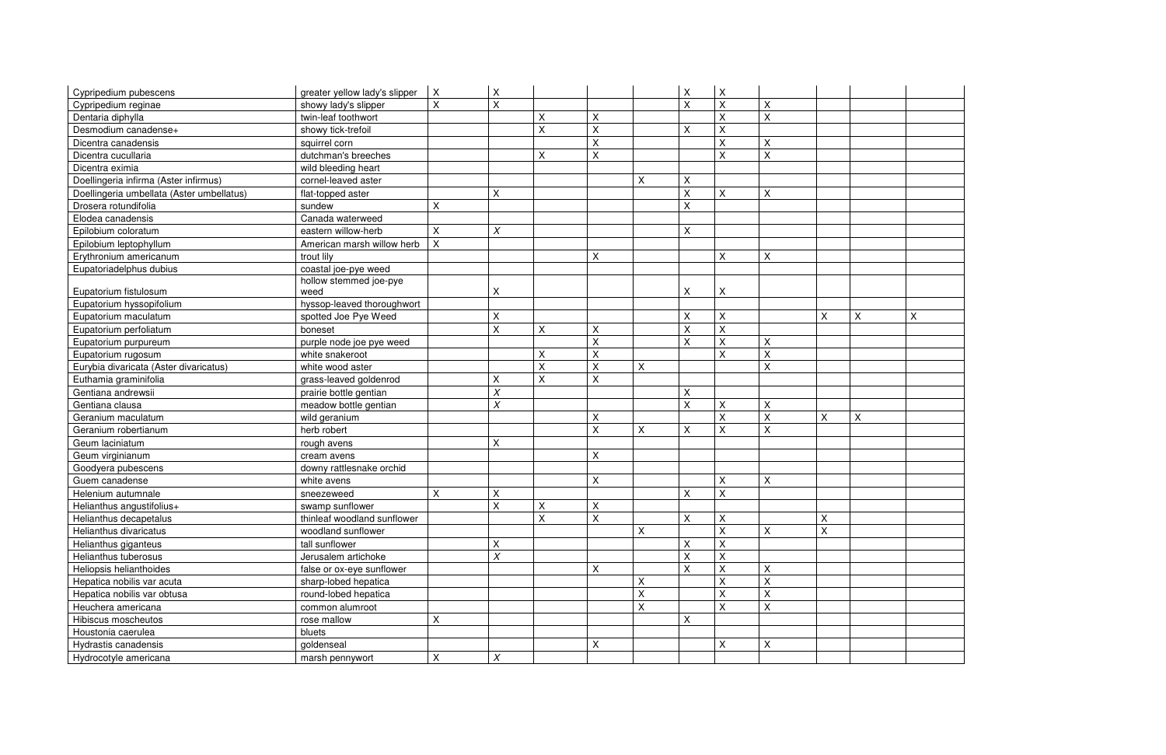| Cypripedium pubescens                     | greater yellow lady's slipper | X                         | X                |   |                    |             | $\mathsf X$        | X                         |   |              |
|-------------------------------------------|-------------------------------|---------------------------|------------------|---|--------------------|-------------|--------------------|---------------------------|---|--------------|
| Cypripedium reginae                       | showy lady's slipper          | X                         | X                |   |                    |             | X                  | $\sf X$                   | X |              |
| Dentaria diphylla                         | twin-leaf toothwort           |                           |                  | X | $\sf X$            |             |                    | $\overline{\mathsf{X}}$   | X |              |
| Desmodium canadense+                      | showy tick-trefoil            |                           |                  | X | $\mathsf{X}$       |             | $\mathsf X$        | $\sf X$                   |   |              |
| Dicentra canadensis                       | squirrel corn                 |                           |                  |   | $\sf X$            |             |                    | $\sf X$                   | Χ |              |
| Dicentra cucullaria                       | dutchman's breeches           |                           |                  | X | $\mathsf{X}$       |             |                    | $\sf X$                   | Χ |              |
| Dicentra eximia                           | wild bleeding heart           |                           |                  |   |                    |             |                    |                           |   |              |
| Doellingeria infirma (Aster infirmus)     | cornel-leaved aster           |                           |                  |   |                    | $\mathsf X$ | $\pmb{\mathsf{X}}$ |                           |   |              |
| Doellingeria umbellata (Aster umbellatus) | flat-topped aster             |                           | X                |   |                    |             | $\sf X$            | $\mathsf X$               | X |              |
| Drosera rotundifolia                      | sundew                        | X                         |                  |   |                    |             | $\mathsf X$        |                           |   |              |
| Elodea canadensis                         | Canada waterweed              |                           |                  |   |                    |             |                    |                           |   |              |
| Epilobium coloratum                       | eastern willow-herb           | $\pmb{\times}$            | X                |   |                    |             | $\mathsf X$        |                           |   |              |
| Epilobium leptophyllum                    | American marsh willow herb    | $\boldsymbol{\mathsf{X}}$ |                  |   |                    |             |                    |                           |   |              |
| Erythronium americanum                    | trout lily                    |                           |                  |   | X                  |             |                    | $\pmb{\times}$            | X |              |
| Eupatoriadelphus dubius                   | coastal joe-pye weed          |                           |                  |   |                    |             |                    |                           |   |              |
|                                           | hollow stemmed joe-pye        |                           |                  |   |                    |             |                    |                           |   |              |
| Eupatorium fistulosum                     | weed                          |                           | X                |   |                    |             | X                  | $\times$                  |   |              |
| Eupatorium hyssopifolium                  | hyssop-leaved thoroughwort    |                           |                  |   |                    |             |                    |                           |   |              |
| Eupatorium maculatum                      | spotted Joe Pye Weed          |                           | $\pmb{\times}$   |   |                    |             | $\pmb{\mathsf{X}}$ | $\times$                  |   | Χ            |
| Eupatorium perfoliatum                    | boneset                       |                           | X                | X | $\pmb{\mathsf{X}}$ |             | $\sf X$            | $\mathsf{X}$              |   |              |
| Eupatorium purpureum                      | purple node joe pye weed      |                           |                  |   | $\mathsf{X}$       |             | X                  | $\sf X$                   | X |              |
| Eupatorium rugosum                        | white snakeroot               |                           |                  | X | $\sf X$            |             |                    | $\sf X$                   | Χ |              |
| Eurybia divaricata (Aster divaricatus)    | white wood aster              |                           |                  | Χ | Χ                  | Χ           |                    |                           | Χ |              |
| Euthamia graminifolia                     | grass-leaved goldenrod        |                           | Χ                | Χ | $\mathsf{X}$       |             |                    |                           |   |              |
| Gentiana andrewsii                        | prairie bottle gentian        |                           | X                |   |                    |             | X                  |                           |   |              |
| Gentiana clausa                           | meadow bottle gentian         |                           | X                |   |                    |             | $\pmb{\mathsf{X}}$ | X                         | Χ |              |
| Geranium maculatum                        | wild geranium                 |                           |                  |   | $\pmb{\mathsf{X}}$ |             |                    | $\sf X$                   | Χ | X            |
| Geranium robertianum                      | herb robert                   |                           |                  |   | $\sf X$            | X           | $\mathsf X$        | X                         | Χ |              |
| Geum laciniatum                           | rough avens                   |                           | X                |   |                    |             |                    |                           |   |              |
| Geum virginianum                          | cream avens                   |                           |                  |   | $\sf X$            |             |                    |                           |   |              |
| Goodyera pubescens                        | downy rattlesnake orchid      |                           |                  |   |                    |             |                    |                           |   |              |
| Guem canadense                            | white avens                   |                           |                  |   | X                  |             |                    | X                         | X |              |
| Helenium autumnale                        | sneezeweed                    | X                         | Χ                |   |                    |             | $\mathsf X$        | $\sf X$                   |   |              |
| Helianthus angustifolius+                 | swamp sunflower               |                           | X                | Χ | $\mathsf{X}$       |             |                    |                           |   |              |
| Helianthus decapetalus                    | thinleaf woodland sunflower   |                           |                  | X | Χ                  |             | $\mathsf X$        | $\times$                  |   | X            |
| Helianthus divaricatus                    | woodland sunflower            |                           |                  |   |                    | X           |                    | $\overline{\mathsf{X}}$   | X | $\mathsf{X}$ |
| Helianthus giganteus                      | tall sunflower                |                           | X                |   |                    |             | X                  | $\times$                  |   |              |
| Helianthus tuberosus                      | Jerusalem artichoke           |                           | Χ                |   |                    |             | X                  | X                         |   |              |
| Heliopsis helianthoides                   | false or ox-eye sunflower     |                           |                  |   | $\mathsf X$        |             | X                  | $\sf X$                   | Χ |              |
| Hepatica nobilis var acuta                | sharp-lobed hepatica          |                           |                  |   |                    | X           |                    | $\times$                  | X |              |
| Hepatica nobilis var obtusa               | round-lobed hepatica          |                           |                  |   |                    | X           |                    | $\sf X$                   | X |              |
| Heuchera americana                        | common alumroot               |                           |                  |   |                    | X           |                    | $\boldsymbol{\mathsf{X}}$ | X |              |
| Hibiscus moscheutos                       | rose mallow                   | X                         |                  |   |                    |             | X                  |                           |   |              |
| Houstonia caerulea                        | bluets                        |                           |                  |   |                    |             |                    |                           |   |              |
| Hydrastis canadensis                      | goldenseal                    |                           |                  |   | Χ                  |             |                    | X                         | X |              |
| Hydrocotyle americana                     | marsh pennywort               | X                         | $\boldsymbol{X}$ |   |                    |             |                    |                           |   |              |

| $\overline{X}$ | $\overline{X}$ |
|----------------|----------------|
|                |                |
|                |                |
|                |                |
|                |                |
|                |                |
|                |                |
|                |                |
|                |                |
| $\overline{X}$ |                |
|                |                |
|                |                |
|                |                |
|                |                |
|                |                |
|                |                |
|                |                |
|                |                |
|                |                |
|                |                |
|                |                |
|                |                |
|                |                |
|                |                |
|                |                |
|                |                |
|                |                |
|                |                |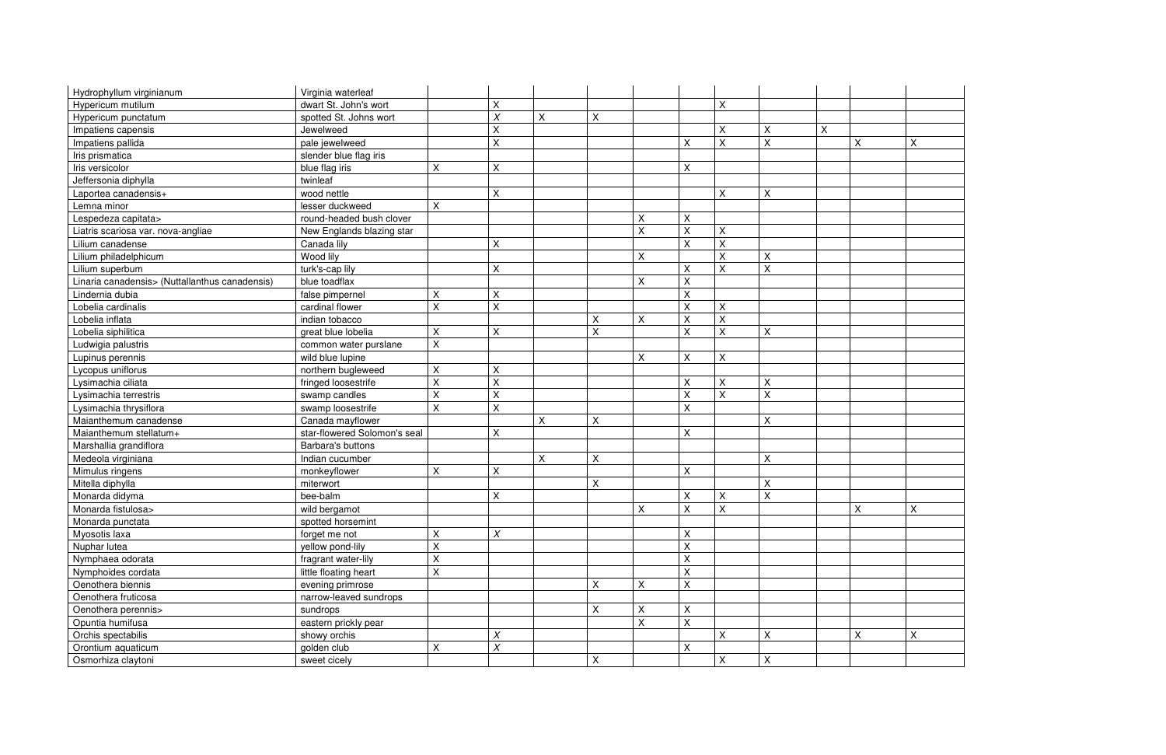| Hydrophyllum virginianum                       | Virginia waterleaf           |                    |                    |         |                           |                           |                |                           |                |   |                           |
|------------------------------------------------|------------------------------|--------------------|--------------------|---------|---------------------------|---------------------------|----------------|---------------------------|----------------|---|---------------------------|
| Hypericum mutilum                              | dwart St. John's wort        |                    | X                  |         |                           |                           |                | X                         |                |   |                           |
| Hypericum punctatum                            | spotted St. Johns wort       |                    | $\overline{X}$     | $\sf X$ | $\boldsymbol{\mathsf{X}}$ |                           |                |                           |                |   |                           |
| Impatiens capensis                             | Jewelweed                    |                    | Χ                  |         |                           |                           |                | $\pmb{\times}$            | Χ              | X |                           |
| Impatiens pallida                              | pale jewelweed               |                    | $\sf X$            |         |                           |                           | X              | $\mathsf X$               | $\sf X$        |   | $\mathsf X$               |
| Iris prismatica                                | slender blue flag iris       |                    |                    |         |                           |                           |                |                           |                |   |                           |
| Iris versicolor                                | blue flag iris               | $\sf X$            | $\pmb{\mathsf{X}}$ |         |                           |                           | $\pmb{\times}$ |                           |                |   |                           |
| Jeffersonia diphylla                           | twinleaf                     |                    |                    |         |                           |                           |                |                           |                |   |                           |
| Laportea canadensis+                           | wood nettle                  |                    | $\sf X$            |         |                           |                           |                | $\pmb{\times}$            | $\pmb{\times}$ |   |                           |
| Lemna minor                                    | lesser duckweed              | X                  |                    |         |                           |                           |                |                           |                |   |                           |
| Lespedeza capitata>                            | round-headed bush clover     |                    |                    |         |                           | $\pmb{\times}$            | X              |                           |                |   |                           |
| Liatris scariosa var. nova-angliae             | New Englands blazing star    |                    |                    |         |                           | $\boldsymbol{\mathsf{X}}$ | $\sf X$        | $\pmb{\times}$            |                |   |                           |
| Lilium canadense                               | Canada lily                  |                    | $\sf X$            |         |                           |                           | $\mathsf{X}$   | $\sf X$                   |                |   |                           |
| Lilium philadelphicum                          | Wood lily                    |                    |                    |         |                           | $\boldsymbol{\mathsf{X}}$ |                | $\sf X$                   | X              |   |                           |
| Lilium superbum                                | turk's-cap lily              |                    | $\pmb{\times}$     |         |                           |                           | $\pmb{\times}$ | $\mathsf X$               | X              |   |                           |
| Linaria canadensis> (Nuttallanthus canadensis) | blue toadflax                |                    |                    |         |                           | $\boldsymbol{\mathsf{X}}$ | $\pmb{\times}$ |                           |                |   |                           |
| Lindernia dubia                                | false pimpernel              | $\pmb{\times}$     | $\sf X$            |         |                           |                           | $\sf X$        |                           |                |   |                           |
| Lobelia cardinalis                             | cardinal flower              | X                  | $\mathsf{X}$       |         |                           |                           | X              | $\sf X$                   |                |   |                           |
| Lobelia inflata                                | indian tobacco               |                    |                    |         | $\times$                  | $\pmb{\times}$            | $\sf X$        | $\sf X$                   |                |   |                           |
| Lobelia siphilitica                            | great blue lobelia           | $\pmb{\mathsf{X}}$ | $\pmb{\mathsf{X}}$ |         | $\sf X$                   |                           | $\mathsf X$    | $\mathsf X$               | $\pmb{\times}$ |   |                           |
| Ludwigia palustris                             | common water purslane        | $\mathsf X$        |                    |         |                           |                           |                |                           |                |   |                           |
| Lupinus perennis                               | wild blue lupine             |                    |                    |         |                           | $\boldsymbol{\mathsf{X}}$ | $\sf X$        | $\pmb{\times}$            |                |   |                           |
| Lycopus uniflorus                              | northern bugleweed           | X                  | $\sf X$            |         |                           |                           |                |                           |                |   |                           |
| Lysimachia ciliata                             | fringed loosestrife          | $\mathsf X$        | $\mathsf{X}$       |         |                           |                           | $\mathsf X$    | $\mathsf X$               | $\mathsf X$    |   |                           |
| Lysimachia terrestris                          | swamp candles                | $\pmb{\mathsf{X}}$ | $\pmb{\mathsf{X}}$ |         |                           |                           | $\mathsf X$    | $\boldsymbol{\mathsf{X}}$ | $\sf X$        |   |                           |
| Lysimachia thrysiflora                         | swamp loosestrife            | $\sf X$            | $\sf X$            |         |                           |                           | X              |                           |                |   |                           |
| Maianthemum canadense                          | Canada mayflower             |                    |                    | $\sf X$ | $\boldsymbol{\mathsf{X}}$ |                           |                |                           | X              |   |                           |
| Maianthemum stellatum+                         | star-flowered Solomon's seal |                    | $\sf X$            |         |                           |                           | $\pmb{\times}$ |                           |                |   |                           |
| Marshallia grandiflora                         | Barbara's buttons            |                    |                    |         |                           |                           |                |                           |                |   |                           |
| Medeola virginiana                             | Indian cucumber              |                    |                    | $\sf X$ | Χ                         |                           |                |                           | Χ              |   |                           |
| Mimulus ringens                                | monkeyflower                 | X                  | $\pmb{\times}$     |         |                           |                           | X              |                           |                |   |                           |
| Mitella diphylla                               | miterwort                    |                    |                    |         | $\sf X$                   |                           |                |                           | X              |   |                           |
| Monarda didyma                                 | bee-balm                     |                    | $\pmb{\times}$     |         |                           |                           | Χ              | X                         | X              |   |                           |
| Monarda fistulosa>                             | wild bergamot                |                    |                    |         |                           | $\mathsf{x}$              | $\mathsf{x}$   | $\sf X$                   |                |   | $\boldsymbol{\mathsf{X}}$ |
| Monarda punctata                               | spotted horsemint            |                    |                    |         |                           |                           |                |                           |                |   |                           |
| Myosotis laxa                                  | forget me not                | $\mathsf X$        | $\chi$             |         |                           |                           | X              |                           |                |   |                           |
| Nuphar lutea                                   | yellow pond-lily             | $\mathsf X$        |                    |         |                           |                           | $\mathsf X$    |                           |                |   |                           |
| Nymphaea odorata                               | fragrant water-lily          | $\mathsf X$        |                    |         |                           |                           | X              |                           |                |   |                           |
| Nymphoides cordata                             | little floating heart        | $\mathsf X$        |                    |         |                           |                           | X              |                           |                |   |                           |
| Oenothera biennis                              | evening primrose             |                    |                    |         | $\boldsymbol{\mathsf{X}}$ | $\boldsymbol{\mathsf{X}}$ | X              |                           |                |   |                           |
| Oenothera fruticosa                            | narrow-leaved sundrops       |                    |                    |         |                           |                           |                |                           |                |   |                           |
| Oenothera perennis>                            | sundrops                     |                    |                    |         | $\boldsymbol{\mathsf{X}}$ | $\sf X$                   | $\pmb{\times}$ |                           |                |   |                           |
| Opuntia humifusa                               | eastern prickly pear         |                    |                    |         |                           | $\boldsymbol{\mathsf{X}}$ | $\mathsf{X}$   |                           |                |   |                           |
| Orchis spectabilis                             | showy orchis                 |                    | $\chi$             |         |                           |                           |                | X                         | X              |   | X                         |
| Orontium aquaticum                             | golden club                  | X                  | $\chi$             |         |                           |                           | X              |                           |                |   |                           |
| Osmorhiza claytoni                             | sweet cicely                 |                    |                    |         | $\boldsymbol{\mathsf{X}}$ |                           |                | X                         | $\pmb{\times}$ |   |                           |
|                                                |                              |                    |                    |         |                           |                           |                |                           |                |   |                           |

| $\overline{X}$                         | $\overline{X}$          |
|----------------------------------------|-------------------------|
|                                        |                         |
|                                        |                         |
|                                        |                         |
|                                        |                         |
|                                        |                         |
|                                        |                         |
|                                        |                         |
|                                        |                         |
|                                        |                         |
|                                        |                         |
|                                        |                         |
|                                        |                         |
|                                        |                         |
|                                        |                         |
|                                        |                         |
|                                        |                         |
|                                        |                         |
|                                        |                         |
|                                        |                         |
|                                        |                         |
|                                        |                         |
|                                        |                         |
|                                        |                         |
|                                        |                         |
|                                        |                         |
|                                        |                         |
|                                        |                         |
|                                        |                         |
| $\overline{\mathsf{x}}$<br>$\mathsf I$ | $\overline{\mathsf{x}}$ |
|                                        |                         |
|                                        |                         |
|                                        |                         |
|                                        |                         |
|                                        |                         |
|                                        |                         |
|                                        |                         |
|                                        |                         |
|                                        |                         |
| $\overline{X}$                         | $\overline{\mathsf{x}}$ |
|                                        |                         |
|                                        |                         |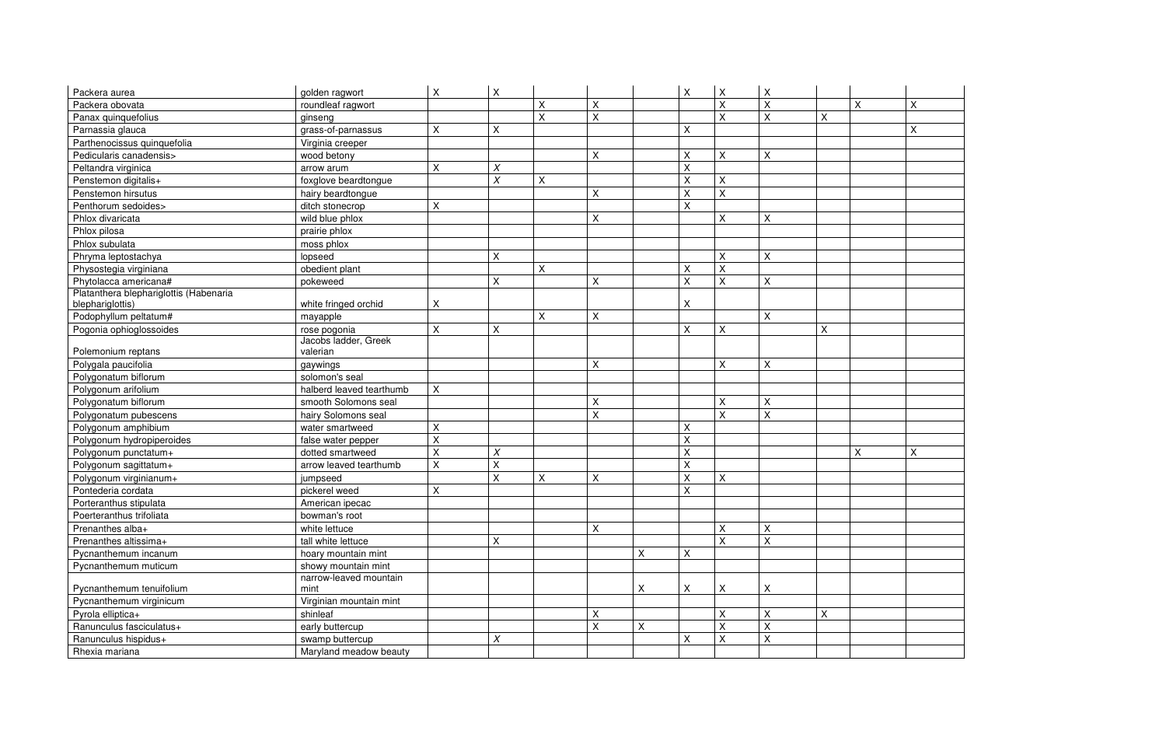| Packera aurea                          | golden ragwort           | X                  | X                  |                         |                |   | $\pmb{\times}$            | $\boldsymbol{\mathsf{X}}$ | $\mathsf X$    |                |   |              |
|----------------------------------------|--------------------------|--------------------|--------------------|-------------------------|----------------|---|---------------------------|---------------------------|----------------|----------------|---|--------------|
| Packera obovata                        | roundleaf ragwort        |                    |                    | X                       | Χ              |   |                           | X                         | X              |                | X | $\mathsf{X}$ |
| Panax quinquefolius                    | ginseng                  |                    |                    | $\overline{\mathsf{X}}$ | $\overline{X}$ |   |                           | $\sf X$                   | $\sf X$        | $\pmb{\times}$ |   |              |
| Parnassia glauca                       | grass-of-parnassus       | X                  | X                  |                         |                |   | $\boldsymbol{\mathsf{X}}$ |                           |                |                |   | Χ            |
| Parthenocissus quinquefolia            | Virginia creeper         |                    |                    |                         |                |   |                           |                           |                |                |   |              |
| Pedicularis canadensis>                | wood betony              |                    |                    |                         | X              |   | X                         | X                         | $\mathsf X$    |                |   |              |
| Peltandra virginica                    | arrow arum               | Χ                  | $\chi$             |                         |                |   | $\pmb{\times}$            |                           |                |                |   |              |
| Penstemon digitalis+                   | foxglove beardtongue     |                    | $\chi$             | $\pmb{\mathsf{X}}$      |                |   | $\mathsf X$               | $\sf X$                   |                |                |   |              |
| Penstemon hirsutus                     | hairy beardtongue        |                    |                    |                         | X              |   | $\boldsymbol{\mathsf{X}}$ | $\sf X$                   |                |                |   |              |
| Penthorum sedoides>                    | ditch stonecrop          | Χ                  |                    |                         |                |   | $\boldsymbol{\mathsf{X}}$ |                           |                |                |   |              |
| Phlox divaricata                       | wild blue phlox          |                    |                    |                         | X              |   |                           | $\pmb{\times}$            | X              |                |   |              |
| Phlox pilosa                           | prairie phlox            |                    |                    |                         |                |   |                           |                           |                |                |   |              |
| Phlox subulata                         | moss phlox               |                    |                    |                         |                |   |                           |                           |                |                |   |              |
| Phryma leptostachya                    | lopseed                  |                    | X                  |                         |                |   |                           | X                         | X              |                |   |              |
| Physostegia virginiana                 | obedient plant           |                    |                    | X                       |                |   | $\boldsymbol{\mathsf{X}}$ | X                         |                |                |   |              |
| Phytolacca americana#                  | pokeweed                 |                    | X                  |                         | X              |   | $\mathsf{X}$              | $\times$                  | X              |                |   |              |
| Platanthera blephariglottis (Habenaria |                          |                    |                    |                         |                |   |                           |                           |                |                |   |              |
| blephariglottis)                       | white fringed orchid     | X                  |                    |                         |                |   | X                         |                           |                |                |   |              |
| Podophyllum peltatum#                  | mayapple                 |                    |                    | $\pmb{\times}$          | X              |   |                           |                           | X              |                |   |              |
| Pogonia ophioglossoides                | rose pogonia             | X                  | $\pmb{\mathsf{X}}$ |                         |                |   | $\pmb{\times}$            | $\sf X$                   |                | $\pmb{\times}$ |   |              |
|                                        | Jacobs ladder, Greek     |                    |                    |                         |                |   |                           |                           |                |                |   |              |
| Polemonium reptans                     | valerian                 |                    |                    |                         |                |   |                           |                           |                |                |   |              |
| Polygala paucifolia                    | gaywings                 |                    |                    |                         | X              |   |                           | $\mathsf X$               | $\pmb{\times}$ |                |   |              |
| Polygonatum biflorum                   | solomon's seal           |                    |                    |                         |                |   |                           |                           |                |                |   |              |
| Polygonum arifolium                    | halberd leaved tearthumb | X                  |                    |                         |                |   |                           |                           |                |                |   |              |
| Polygonatum biflorum                   | smooth Solomons seal     |                    |                    |                         | X              |   |                           | X                         | X              |                |   |              |
| Polygonatum pubescens                  | hairy Solomons seal      |                    |                    |                         | $\overline{X}$ |   |                           | $\sf X$                   | $\sf X$        |                |   |              |
| Polygonum amphibium                    | water smartweed          | Χ                  |                    |                         |                |   | $\boldsymbol{\mathsf{X}}$ |                           |                |                |   |              |
| Polygonum hydropiperoides              | false water pepper       | $\sf X$            |                    |                         |                |   | $\pmb{\times}$            |                           |                |                |   |              |
| Polygonum punctatum+                   | dotted smartweed         | Χ                  | $\chi$             |                         |                |   | $\mathsf X$               |                           |                |                | X | X            |
| Polygonum sagittatum+                  | arrow leaved tearthumb   | $\pmb{\mathsf{X}}$ | $\pmb{\mathsf{X}}$ |                         |                |   | $\pmb{\times}$            |                           |                |                |   |              |
| Polygonum virginianum+                 | jumpseed                 |                    | Χ                  | X                       | X              |   | $\pmb{\times}$            | $\mathsf X$               |                |                |   |              |
| Pontederia cordata                     | pickerel weed            | $\pmb{\mathsf{X}}$ |                    |                         |                |   | $\pmb{\times}$            |                           |                |                |   |              |
| Porteranthus stipulata                 | American ipecac          |                    |                    |                         |                |   |                           |                           |                |                |   |              |
| Poerteranthus trifoliata               | bowman's root            |                    |                    |                         |                |   |                           |                           |                |                |   |              |
| Prenanthes alba+                       | white lettuce            |                    |                    |                         | X              |   |                           | X                         | X              |                |   |              |
| Prenanthes altissima+                  | tall white lettuce       |                    | Χ                  |                         |                |   |                           | $\sf X$                   | $\mathsf{X}$   |                |   |              |
| Pycnanthemum incanum                   | hoary mountain mint      |                    |                    |                         |                | Χ | X                         |                           |                |                |   |              |
| Pycnanthemum muticum                   | showy mountain mint      |                    |                    |                         |                |   |                           |                           |                |                |   |              |
|                                        | narrow-leaved mountain   |                    |                    |                         |                |   |                           |                           |                |                |   |              |
| Pycnanthemum tenuifolium               | mint                     |                    |                    |                         |                | X | X                         | X                         | X              |                |   |              |
| Pycnanthemum virginicum                | Virginian mountain mint  |                    |                    |                         |                |   |                           |                           |                |                |   |              |
| Pyrola elliptica+                      | shinleaf                 |                    |                    |                         | X              |   |                           | X                         | X              | X              |   |              |
| Ranunculus fasciculatus+               | early buttercup          |                    |                    |                         | X              | X |                           | X                         | $\mathsf{X}$   |                |   |              |
| Ranunculus hispidus+                   | swamp buttercup          |                    | $\chi$             |                         |                |   | X                         | X                         | $\mathsf X$    |                |   |              |
| Rhexia mariana                         | Maryland meadow beauty   |                    |                    |                         |                |   |                           |                           |                |                |   |              |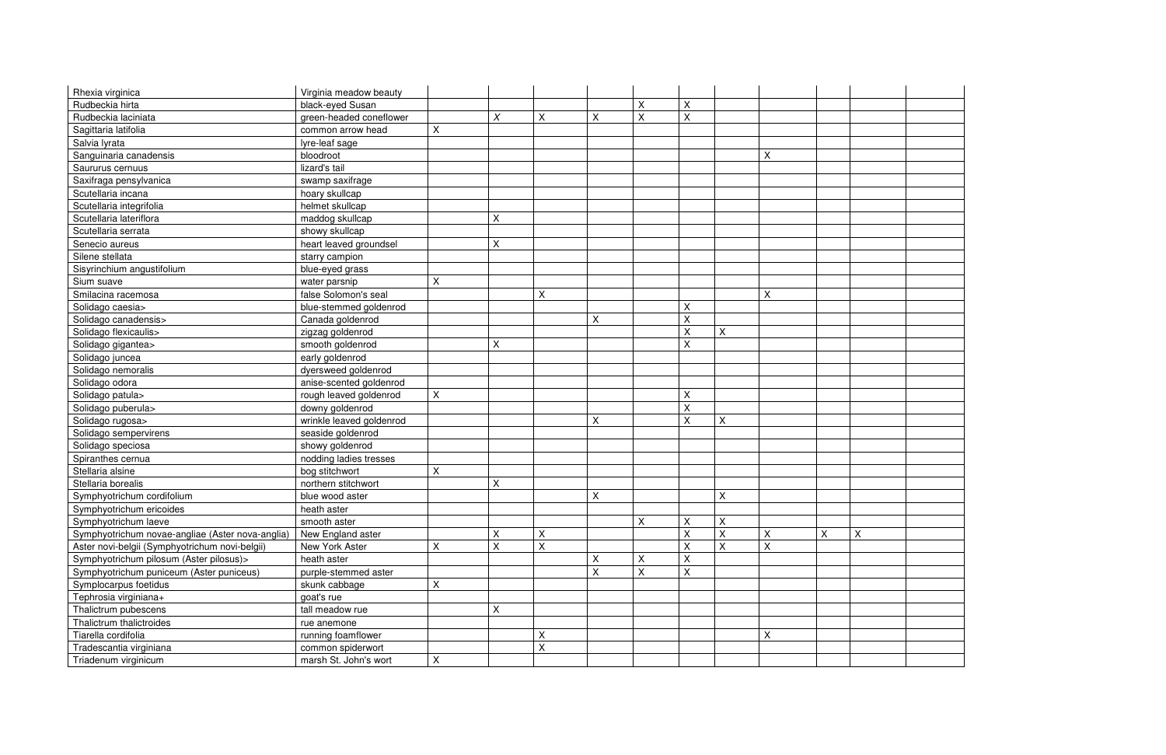| Rhexia virginica                                 | Virginia meadow beauty   |         |   |   |             |   |              |          |   |   |
|--------------------------------------------------|--------------------------|---------|---|---|-------------|---|--------------|----------|---|---|
| Rudbeckia hirta                                  | black-eyed Susan         |         |   |   |             | Χ | $\mathsf X$  |          |   |   |
| Rudbeckia laciniata                              | green-headed coneflower  |         | X | X | $\mathsf X$ | X | $\sf X$      |          |   |   |
| Sagittaria latifolia                             | common arrow head        | X       |   |   |             |   |              |          |   |   |
| Salvia lyrata                                    | lyre-leaf sage           |         |   |   |             |   |              |          |   |   |
| Sanguinaria canadensis                           | bloodroot                |         |   |   |             |   |              |          | X |   |
| Saururus cernuus                                 | lizard's tail            |         |   |   |             |   |              |          |   |   |
| Saxifraga pensylvanica                           | swamp saxifrage          |         |   |   |             |   |              |          |   |   |
| Scutellaria incana                               | hoary skullcap           |         |   |   |             |   |              |          |   |   |
| Scutellaria integrifolia                         | helmet skullcap          |         |   |   |             |   |              |          |   |   |
| Scutellaria lateriflora                          | maddog skullcap          |         | Χ |   |             |   |              |          |   |   |
| Scutellaria serrata                              | showy skullcap           |         |   |   |             |   |              |          |   |   |
| Senecio aureus                                   | heart leaved groundsel   |         | Χ |   |             |   |              |          |   |   |
| Silene stellata                                  | starry campion           |         |   |   |             |   |              |          |   |   |
| Sisyrinchium angustifolium                       | blue-eyed grass          |         |   |   |             |   |              |          |   |   |
| Sium suave                                       | water parsnip            | $\sf X$ |   |   |             |   |              |          |   |   |
| Smilacina racemosa                               | false Solomon's seal     |         |   | X |             |   |              |          | Χ |   |
| Solidago caesia>                                 | blue-stemmed goldenrod   |         |   |   |             |   | Χ            |          |   |   |
| Solidago canadensis>                             | Canada goldenrod         |         |   |   | $\mathsf X$ |   | $\sf X$      |          |   |   |
| Solidago flexicaulis>                            | zigzag goldenrod         |         |   |   |             |   | Χ            | X        |   |   |
| Solidago gigantea>                               | smooth goldenrod         |         | Χ |   |             |   | $\sf X$      |          |   |   |
| Solidago juncea                                  | early goldenrod          |         |   |   |             |   |              |          |   |   |
| Solidago nemoralis                               | dyersweed goldenrod      |         |   |   |             |   |              |          |   |   |
| Solidago odora                                   | anise-scented goldenrod  |         |   |   |             |   |              |          |   |   |
| Solidago patula>                                 | rough leaved goldenrod   | X       |   |   |             |   | X            |          |   |   |
| Solidago puberula>                               | downy goldenrod          |         |   |   |             |   | $\mathsf{X}$ |          |   |   |
| Solidago rugosa>                                 | wrinkle leaved goldenrod |         |   |   | $\mathsf X$ |   | X            | X        |   |   |
| Solidago sempervirens                            | seaside goldenrod        |         |   |   |             |   |              |          |   |   |
| Solidago speciosa                                | showy goldenrod          |         |   |   |             |   |              |          |   |   |
| Spiranthes cernua                                | nodding ladies tresses   |         |   |   |             |   |              |          |   |   |
| Stellaria alsine                                 | bog stitchwort           | X       |   |   |             |   |              |          |   |   |
| Stellaria borealis                               | northern stitchwort      |         | Χ |   |             |   |              |          |   |   |
| Symphyotrichum cordifolium                       | blue wood aster          |         |   |   | $\mathsf X$ |   |              | X        |   |   |
| Symphyotrichum ericoides                         | heath aster              |         |   |   |             |   |              |          |   |   |
| Symphyotrichum laeve                             | smooth aster             |         |   |   |             | Χ | Χ            | $\sf X$  |   |   |
| Symphyotrichum novae-angliae (Aster nova-anglia) | New England aster        |         |   | X |             |   | X            | $\times$ | X | X |
| Aster novi-belgii (Symphyotrichum novi-belgii)   | New York Aster           | X       | Χ | X |             |   | Χ            | X        | X |   |
| Symphyotrichum pilosum (Aster pilosus)>          | heath aster              |         |   |   | $\mathsf X$ | X | Χ            |          |   |   |
| Symphyotrichum puniceum (Aster puniceus)         | purple-stemmed aster     |         |   |   | $\mathsf X$ | X | X            |          |   |   |
| Symplocarpus foetidus                            | skunk cabbage            | X       |   |   |             |   |              |          |   |   |
| Tephrosia virginiana+                            | goat's rue               |         |   |   |             |   |              |          |   |   |
| Thalictrum pubescens                             | tall meadow rue          |         | X |   |             |   |              |          |   |   |
| Thalictrum thalictroides                         | rue anemone              |         |   |   |             |   |              |          |   |   |
| Tiarella cordifolia                              | running foamflower       |         |   | Χ |             |   |              |          | X |   |
| Tradescantia virginiana                          | common spiderwort        |         |   | Χ |             |   |              |          |   |   |
| Triadenum virginicum                             | marsh St. John's wort    | X       |   |   |             |   |              |          |   |   |

| X |  |
|---|--|
|   |  |
|   |  |
|   |  |
|   |  |
|   |  |
|   |  |
|   |  |
|   |  |
|   |  |
|   |  |
|   |  |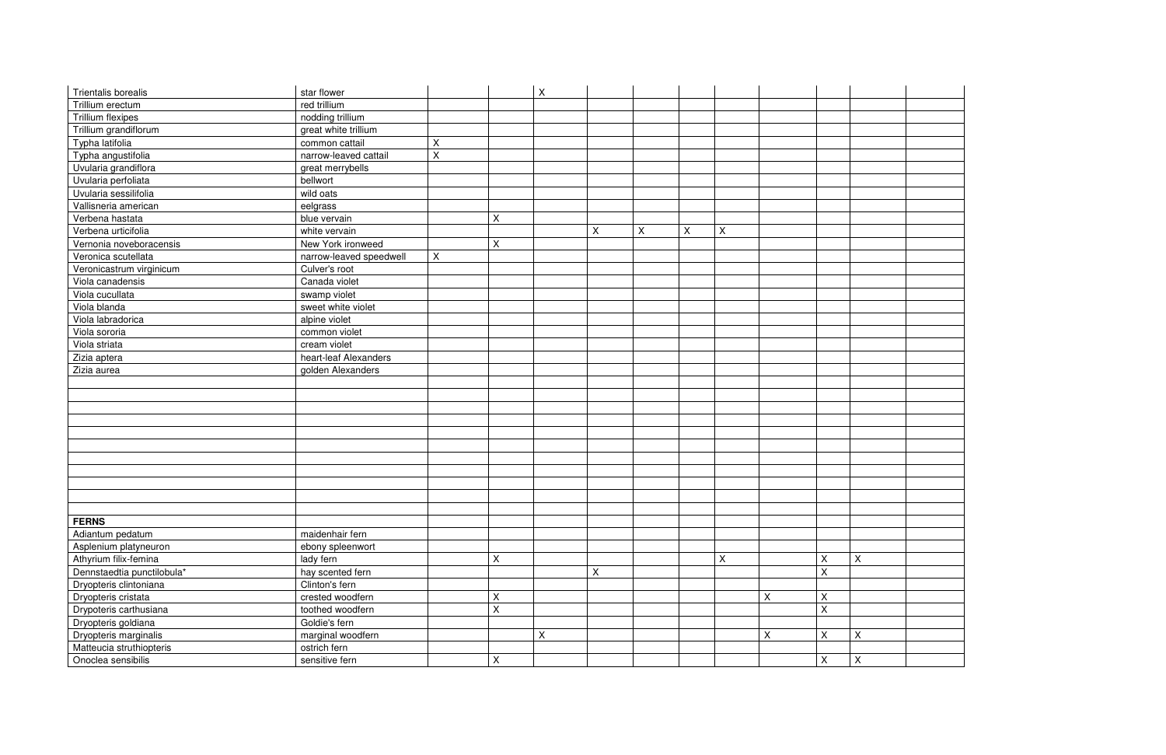| star flower       |                                                                                                                                                                                                                                                                                                                                                     |             | $\pmb{\times}$ |             |                    |   |   |                |                           |                           |
|-------------------|-----------------------------------------------------------------------------------------------------------------------------------------------------------------------------------------------------------------------------------------------------------------------------------------------------------------------------------------------------|-------------|----------------|-------------|--------------------|---|---|----------------|---------------------------|---------------------------|
| red trillium      |                                                                                                                                                                                                                                                                                                                                                     |             |                |             |                    |   |   |                |                           |                           |
|                   |                                                                                                                                                                                                                                                                                                                                                     |             |                |             |                    |   |   |                |                           |                           |
|                   |                                                                                                                                                                                                                                                                                                                                                     |             |                |             |                    |   |   |                |                           |                           |
|                   |                                                                                                                                                                                                                                                                                                                                                     |             |                |             |                    |   |   |                |                           |                           |
|                   | $\sf X$                                                                                                                                                                                                                                                                                                                                             |             |                |             |                    |   |   |                |                           |                           |
|                   |                                                                                                                                                                                                                                                                                                                                                     |             |                |             |                    |   |   |                |                           |                           |
|                   |                                                                                                                                                                                                                                                                                                                                                     |             |                |             |                    |   |   |                |                           |                           |
|                   |                                                                                                                                                                                                                                                                                                                                                     |             |                |             |                    |   |   |                |                           |                           |
|                   |                                                                                                                                                                                                                                                                                                                                                     |             |                |             |                    |   |   |                |                           |                           |
| blue vervain      |                                                                                                                                                                                                                                                                                                                                                     | X           |                |             |                    |   |   |                |                           |                           |
|                   |                                                                                                                                                                                                                                                                                                                                                     |             |                |             |                    |   |   |                |                           |                           |
|                   |                                                                                                                                                                                                                                                                                                                                                     | $\mathsf X$ |                |             |                    |   |   |                |                           |                           |
|                   | $\mathsf X$                                                                                                                                                                                                                                                                                                                                         |             |                |             |                    |   |   |                |                           |                           |
|                   |                                                                                                                                                                                                                                                                                                                                                     |             |                |             |                    |   |   |                |                           |                           |
| Canada violet     |                                                                                                                                                                                                                                                                                                                                                     |             |                |             |                    |   |   |                |                           |                           |
|                   |                                                                                                                                                                                                                                                                                                                                                     |             |                |             |                    |   |   |                |                           |                           |
|                   |                                                                                                                                                                                                                                                                                                                                                     |             |                |             |                    |   |   |                |                           |                           |
|                   |                                                                                                                                                                                                                                                                                                                                                     |             |                |             |                    |   |   |                |                           |                           |
| common violet     |                                                                                                                                                                                                                                                                                                                                                     |             |                |             |                    |   |   |                |                           |                           |
|                   |                                                                                                                                                                                                                                                                                                                                                     |             |                |             |                    |   |   |                |                           |                           |
|                   |                                                                                                                                                                                                                                                                                                                                                     |             |                |             |                    |   |   |                |                           |                           |
|                   |                                                                                                                                                                                                                                                                                                                                                     |             |                |             |                    |   |   |                |                           |                           |
|                   |                                                                                                                                                                                                                                                                                                                                                     |             |                |             |                    |   |   |                |                           |                           |
|                   |                                                                                                                                                                                                                                                                                                                                                     |             |                |             |                    |   |   |                |                           |                           |
|                   |                                                                                                                                                                                                                                                                                                                                                     |             |                |             |                    |   |   |                |                           |                           |
|                   |                                                                                                                                                                                                                                                                                                                                                     |             |                |             |                    |   |   |                |                           |                           |
|                   |                                                                                                                                                                                                                                                                                                                                                     |             |                |             |                    |   |   |                |                           |                           |
|                   |                                                                                                                                                                                                                                                                                                                                                     |             |                |             |                    |   |   |                |                           |                           |
|                   |                                                                                                                                                                                                                                                                                                                                                     |             |                |             |                    |   |   |                |                           |                           |
|                   |                                                                                                                                                                                                                                                                                                                                                     |             |                |             |                    |   |   |                |                           |                           |
|                   |                                                                                                                                                                                                                                                                                                                                                     |             |                |             |                    |   |   |                |                           |                           |
|                   |                                                                                                                                                                                                                                                                                                                                                     |             |                |             |                    |   |   |                |                           |                           |
|                   |                                                                                                                                                                                                                                                                                                                                                     |             |                |             |                    |   |   |                |                           |                           |
|                   |                                                                                                                                                                                                                                                                                                                                                     |             |                |             |                    |   |   |                |                           |                           |
| maidenhair fern   |                                                                                                                                                                                                                                                                                                                                                     |             |                |             |                    |   |   |                |                           |                           |
| ebony spleenwort  |                                                                                                                                                                                                                                                                                                                                                     |             |                |             |                    |   |   |                |                           |                           |
| lady fern         |                                                                                                                                                                                                                                                                                                                                                     | X           |                |             |                    |   | X |                | X                         | $\boldsymbol{\mathsf{X}}$ |
| hay scented fern  |                                                                                                                                                                                                                                                                                                                                                     |             |                | $\mathsf X$ |                    |   |   |                | $\pmb{\times}$            |                           |
| Clinton's fern    |                                                                                                                                                                                                                                                                                                                                                     |             |                |             |                    |   |   |                |                           |                           |
| crested woodfern  |                                                                                                                                                                                                                                                                                                                                                     | X           |                |             |                    |   |   | $\pmb{\times}$ | $\boldsymbol{\mathsf{X}}$ |                           |
| toothed woodfern  |                                                                                                                                                                                                                                                                                                                                                     | $\mathsf X$ |                |             |                    |   |   |                | $\sf X$                   |                           |
| Goldie's fern     |                                                                                                                                                                                                                                                                                                                                                     |             |                |             |                    |   |   |                |                           |                           |
| marginal woodfern |                                                                                                                                                                                                                                                                                                                                                     |             | $\pmb{\times}$ |             |                    |   |   | $\pmb{\times}$ | X                         | $\mathsf X$               |
|                   |                                                                                                                                                                                                                                                                                                                                                     |             |                |             |                    |   |   |                |                           |                           |
| ostrich fern      |                                                                                                                                                                                                                                                                                                                                                     |             |                |             |                    |   |   |                |                           |                           |
|                   | nodding trillium<br>great white trillium<br>common cattail<br>narrow-leaved cattail<br>great merrybells<br>bellwort<br>wild oats<br>eelgrass<br>white vervain<br>New York ironweed<br>narrow-leaved speedwell<br>Culver's root<br>swamp violet<br>sweet white violet<br>alpine violet<br>cream violet<br>heart-leaf Alexanders<br>golden Alexanders | X           |                |             | $\pmb{\mathsf{X}}$ | X | X | X              |                           |                           |

| $\overline{\mathsf{x}}$ |  |
|-------------------------|--|
|                         |  |
|                         |  |
|                         |  |
|                         |  |
|                         |  |
| $\overline{\mathsf{X}}$ |  |
|                         |  |
| $\overline{X}$          |  |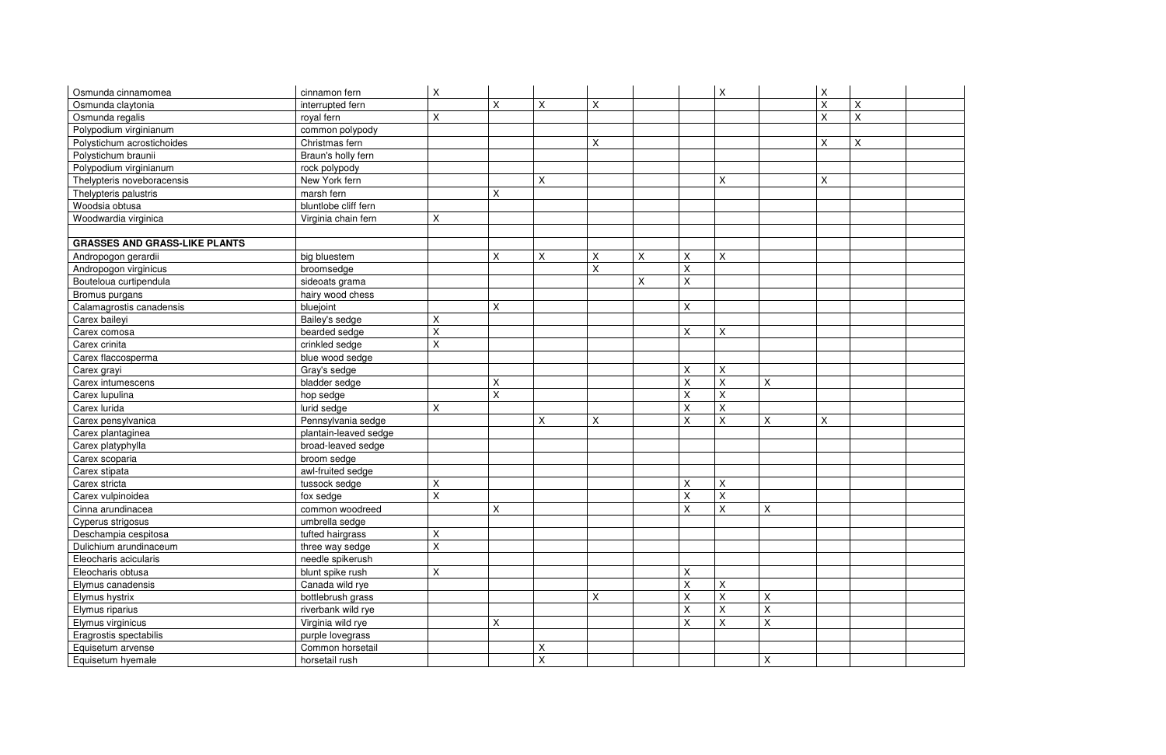| Osmunda cinnamomea                   | cinnamon fern         | X  |   |                    |   |   |                           | $\pmb{\times}$            |              | $\mathsf X$    |                |
|--------------------------------------|-----------------------|----|---|--------------------|---|---|---------------------------|---------------------------|--------------|----------------|----------------|
| Osmunda claytonia                    | interrupted fern      |    | Χ | $\pmb{\times}$     | Χ |   |                           |                           |              | $\mathsf X$    | $\pmb{\times}$ |
| Osmunda regalis                      | royal fern            | X  |   |                    |   |   |                           |                           |              | $\sf X$        | $\mathsf X$    |
| Polypodium virginianum               | common polypody       |    |   |                    |   |   |                           |                           |              |                |                |
| Polystichum acrostichoides           | Christmas fern        |    |   |                    | X |   |                           |                           |              | $\sf X$        | X              |
| Polystichum braunii                  | Braun's holly fern    |    |   |                    |   |   |                           |                           |              |                |                |
| Polypodium virginianum               | rock polypody         |    |   |                    |   |   |                           |                           |              |                |                |
| Thelypteris noveboracensis           | New York fern         |    |   | $\mathsf{\chi}$    |   |   |                           | $\mathsf X$               |              | $\pmb{\times}$ |                |
| Thelypteris palustris                | marsh fern            |    | Χ |                    |   |   |                           |                           |              |                |                |
| Woodsia obtusa                       | bluntlobe cliff fern  |    |   |                    |   |   |                           |                           |              |                |                |
| Woodwardia virginica                 | Virginia chain fern   | Χ  |   |                    |   |   |                           |                           |              |                |                |
|                                      |                       |    |   |                    |   |   |                           |                           |              |                |                |
| <b>GRASSES AND GRASS-LIKE PLANTS</b> |                       |    |   |                    |   |   |                           |                           |              |                |                |
| Andropogon gerardii                  | big bluestem          |    | X | $\pmb{\mathsf{X}}$ | X | Χ | $\mathsf X$               | X                         |              |                |                |
| Andropogon virginicus                | broomsedge            |    |   |                    | X |   | $\pmb{\times}$            |                           |              |                |                |
| Bouteloua curtipendula               | sideoats grama        |    |   |                    |   | X | $\mathsf X$               |                           |              |                |                |
| Bromus purgans                       | hairy wood chess      |    |   |                    |   |   |                           |                           |              |                |                |
| Calamagrostis canadensis             | bluejoint             |    | X |                    |   |   | $\pmb{\times}$            |                           |              |                |                |
| Carex baileyi                        | Bailey's sedge        | Χ  |   |                    |   |   |                           |                           |              |                |                |
| Carex comosa                         | bearded sedge         | Χ  |   |                    |   |   | X                         | X                         |              |                |                |
| Carex crinita                        | crinkled sedge        | X  |   |                    |   |   |                           |                           |              |                |                |
| Carex flaccosperma                   | blue wood sedge       |    |   |                    |   |   |                           |                           |              |                |                |
| Carex grayi                          | Gray's sedge          |    |   |                    |   |   | X                         | $\mathsf X$               |              |                |                |
| Carex intumescens                    | bladder sedge         |    | X |                    |   |   | $\mathsf X$               | $\pmb{\times}$            | X            |                |                |
| Carex lupulina                       | hop sedge             |    | X |                    |   |   | X                         | $\pmb{\times}$            |              |                |                |
| Carex lurida                         | lurid sedge           | Χ  |   |                    |   |   | $\mathsf X$               | X                         |              |                |                |
| Carex pensylvanica                   | Pennsylvania sedge    |    |   | X                  | X |   | X                         | X                         | $\mathsf X$  | $\pmb{\times}$ |                |
| Carex plantaginea                    | plantain-leaved sedge |    |   |                    |   |   |                           |                           |              |                |                |
| Carex platyphylla                    | broad-leaved sedge    |    |   |                    |   |   |                           |                           |              |                |                |
| Carex scoparia                       | broom sedge           |    |   |                    |   |   |                           |                           |              |                |                |
| Carex stipata                        | awl-fruited sedge     |    |   |                    |   |   |                           |                           |              |                |                |
| Carex stricta                        | tussock sedge         | Χ  |   |                    |   |   | $\pmb{\times}$            | $\mathsf X$               |              |                |                |
| Carex vulpinoidea                    | fox sedge             | X  |   |                    |   |   | $\mathsf X$               | X                         |              |                |                |
| Cinna arundinacea                    | common woodreed       |    | X |                    |   |   | $\mathsf{x}$              | $\boldsymbol{\mathsf{x}}$ | $\mathbf{x}$ |                |                |
| Cyperus strigosus                    | umbrella sedge        |    |   |                    |   |   |                           |                           |              |                |                |
| Deschampia cespitosa                 | tufted hairgrass      | Χ  |   |                    |   |   |                           |                           |              |                |                |
| Dulichium arundinaceum               | three way sedge       | X  |   |                    |   |   |                           |                           |              |                |                |
| Eleocharis acicularis                | needle spikerush      |    |   |                    |   |   |                           |                           |              |                |                |
| Eleocharis obtusa                    | blunt spike rush      | X. |   |                    |   |   | X                         |                           |              |                |                |
| Elymus canadensis                    | Canada wild rye       |    |   |                    |   |   | $\sf X$                   | X                         |              |                |                |
| Elymus hystrix                       | bottlebrush grass     |    |   |                    | X |   | X                         | $\sf X$                   | $\mathsf{X}$ |                |                |
| Elymus riparius                      | riverbank wild rye    |    |   |                    |   |   | $\pmb{\times}$            | X                         | $\mathsf X$  |                |                |
| Elymus virginicus                    | Virginia wild rye     |    | X |                    |   |   | $\boldsymbol{\mathsf{X}}$ | X                         | $\mathsf X$  |                |                |
| Eragrostis spectabilis               | purple lovegrass      |    |   |                    |   |   |                           |                           |              |                |                |
| Equisetum arvense                    | Common horsetail      |    |   | X                  |   |   |                           |                           |              |                |                |
| Equisetum hyemale                    | horsetail rush        |    |   | $\mathsf{X}$       |   |   |                           |                           | $\mathsf X$  |                |                |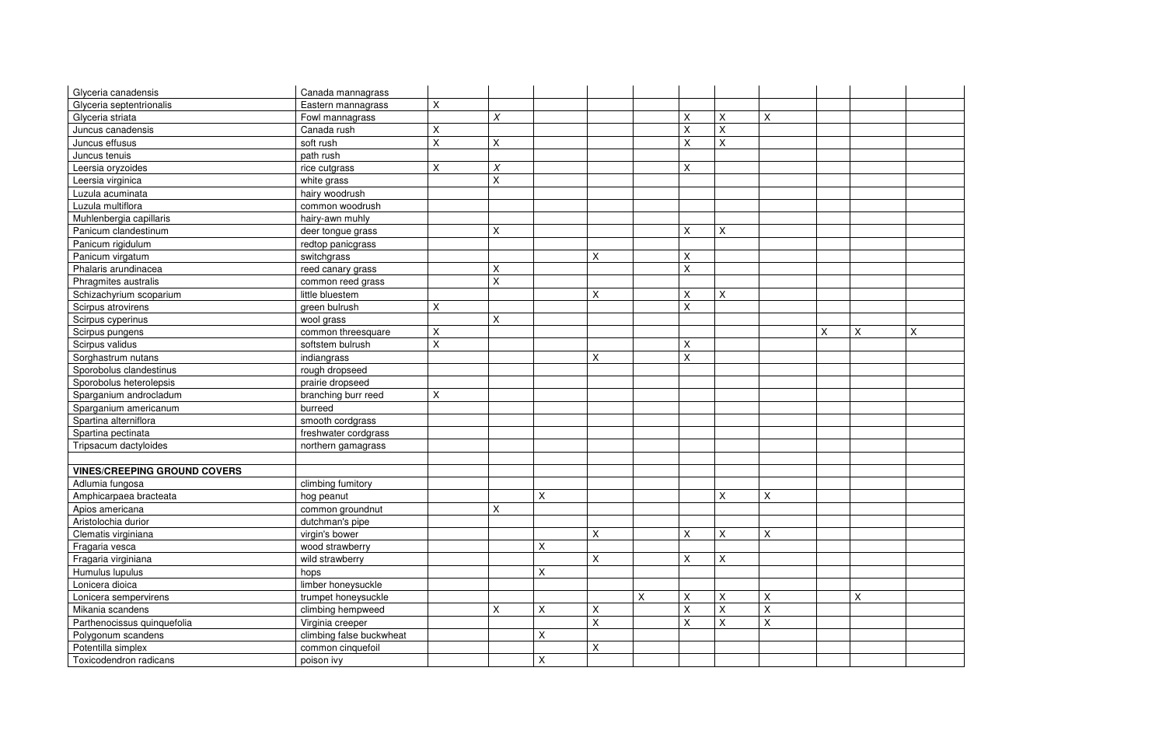| Glyceria canadensis                 | Canada mannagrass        |                    |                           |                |                           |   |                    |                |                    |   |              |
|-------------------------------------|--------------------------|--------------------|---------------------------|----------------|---------------------------|---|--------------------|----------------|--------------------|---|--------------|
| Glyceria septentrionalis            | Eastern mannagrass       | Χ                  |                           |                |                           |   |                    |                |                    |   |              |
| Glyceria striata                    | Fowl mannagrass          |                    | $\chi$                    |                |                           |   | $\pmb{\mathsf{X}}$ | X              | Χ                  |   |              |
| Juncus canadensis                   | Canada rush              | Χ                  |                           |                |                           |   | $\sf X$            | $\mathsf{X}$   |                    |   |              |
| Juncus effusus                      | soft rush                | $\sf X$            | X                         |                |                           |   | $\sf X$            | $\sf X$        |                    |   |              |
| Juncus tenuis                       | path rush                |                    |                           |                |                           |   |                    |                |                    |   |              |
| Leersia oryzoides                   | rice cutgrass            | $\sf X$            | $\boldsymbol{X}$          |                |                           |   | $\mathsf X$        |                |                    |   |              |
| Leersia virginica                   | white grass              |                    | $\mathsf{X}$              |                |                           |   |                    |                |                    |   |              |
| Luzula acuminata                    | hairy woodrush           |                    |                           |                |                           |   |                    |                |                    |   |              |
| Luzula multiflora                   | common woodrush          |                    |                           |                |                           |   |                    |                |                    |   |              |
| Muhlenbergia capillaris             | hairy-awn muhly          |                    |                           |                |                           |   |                    |                |                    |   |              |
| Panicum clandestinum                | deer tongue grass        |                    | X                         |                |                           |   | $\pmb{\mathsf{X}}$ | $\mathsf X$    |                    |   |              |
| Panicum rigidulum                   | redtop panicgrass        |                    |                           |                |                           |   |                    |                |                    |   |              |
| Panicum virgatum                    | switchgrass              |                    |                           |                | $\times$                  |   | X                  |                |                    |   |              |
| Phalaris arundinacea                | reed canary grass        |                    | X                         |                |                           |   | $\pmb{\mathsf{X}}$ |                |                    |   |              |
| Phragmites australis                | common reed grass        |                    | $\mathsf X$               |                |                           |   |                    |                |                    |   |              |
| Schizachyrium scoparium             | little bluestem          |                    |                           |                | X                         |   | $\sf X$            | $\mathsf{X}$   |                    |   |              |
| Scirpus atrovirens                  | green bulrush            | Χ                  |                           |                |                           |   | $\pmb{\mathsf{X}}$ |                |                    |   |              |
| Scirpus cyperinus                   | wool grass               |                    | $\boldsymbol{\mathsf{X}}$ |                |                           |   |                    |                |                    |   |              |
| Scirpus pungens                     | common threesquare       | X                  |                           |                |                           |   |                    |                |                    | X | $\mathsf{X}$ |
| Scirpus validus                     | softstem bulrush         | $\mathsf{X}$       |                           |                |                           |   | $\pmb{\mathsf{X}}$ |                |                    |   |              |
| Sorghastrum nutans                  | indiangrass              |                    |                           |                | X                         |   | $\sf X$            |                |                    |   |              |
| Sporobolus clandestinus             | rough dropseed           |                    |                           |                |                           |   |                    |                |                    |   |              |
| Sporobolus heterolepsis             | prairie dropseed         |                    |                           |                |                           |   |                    |                |                    |   |              |
| Sparganium androcladum              | branching burr reed      | $\pmb{\mathsf{X}}$ |                           |                |                           |   |                    |                |                    |   |              |
| Sparganium americanum               | burreed                  |                    |                           |                |                           |   |                    |                |                    |   |              |
| Spartina alterniflora               | smooth cordgrass         |                    |                           |                |                           |   |                    |                |                    |   |              |
| Spartina pectinata                  | freshwater cordgrass     |                    |                           |                |                           |   |                    |                |                    |   |              |
| Tripsacum dactyloides               | northern gamagrass       |                    |                           |                |                           |   |                    |                |                    |   |              |
|                                     |                          |                    |                           |                |                           |   |                    |                |                    |   |              |
| <b>VINES/CREEPING GROUND COVERS</b> |                          |                    |                           |                |                           |   |                    |                |                    |   |              |
| Adlumia fungosa                     | climbing fumitory        |                    |                           |                |                           |   |                    |                |                    |   |              |
| Amphicarpaea bracteata              | hog peanut               |                    |                           | X              |                           |   |                    | X              | X                  |   |              |
| Apios americana                     | common groundnut         |                    | $\mathsf{x}$              |                |                           |   |                    |                |                    |   |              |
| Aristolochia durior                 | dutchman's pipe          |                    |                           |                |                           |   |                    |                |                    |   |              |
| Clematis virginiana                 | virgin's bower           |                    |                           |                | $\pmb{\times}$            |   | X                  | X              | X                  |   |              |
| Fragaria vesca                      | wood strawberry          |                    |                           | $\pmb{\times}$ |                           |   |                    |                |                    |   |              |
| Fragaria virginiana                 | wild strawberry          |                    |                           |                | $\pmb{\times}$            |   | X                  | X              |                    |   |              |
| Humulus lupulus                     | hops                     |                    |                           | X              |                           |   |                    |                |                    |   |              |
| Lonicera dioica                     | limber honeysuckle       |                    |                           |                |                           |   |                    |                |                    |   |              |
| Lonicera sempervirens               | trumpet honeysuckle      |                    |                           |                |                           | X | $\mathsf X$        | $\sf X$        | $\mathsf X$        |   | X            |
| Mikania scandens                    | climbing hempweed        |                    | $\pmb{\times}$            | $\pmb{\times}$ | $\pmb{\times}$            |   | $\mathsf X$        | $\mathsf{X}$   | $\pmb{\mathsf{X}}$ |   |              |
| Parthenocissus quinquefolia         | Virginia creeper         |                    |                           |                | $\boldsymbol{\mathsf{X}}$ |   | $\mathsf X$        | $\pmb{\times}$ | $\mathsf X$        |   |              |
| Polygonum scandens                  | climbing false buckwheat |                    |                           | $\mathsf{X}$   |                           |   |                    |                |                    |   |              |
| Potentilla simplex                  | common cinquefoil        |                    |                           |                | $\pmb{\times}$            |   |                    |                |                    |   |              |
| Toxicodendron radicans              | poison ivy               |                    |                           | $\mathsf{X}$   |                           |   |                    |                |                    |   |              |
|                                     |                          |                    |                           |                |                           |   |                    |                |                    |   |              |

| $\overline{\mathsf{X}}$ | $\overline{X}$ |
|-------------------------|----------------|
|                         |                |
|                         |                |
|                         |                |
|                         |                |
|                         |                |
|                         |                |
|                         |                |
|                         |                |
|                         |                |
|                         |                |
|                         |                |
|                         |                |
|                         |                |
|                         |                |
|                         |                |
|                         |                |
|                         |                |
|                         |                |
|                         |                |
|                         |                |
|                         |                |
|                         |                |
|                         |                |
|                         |                |
| $\overline{\mathsf{x}}$ |                |
|                         |                |
|                         |                |
|                         |                |
|                         |                |
|                         |                |